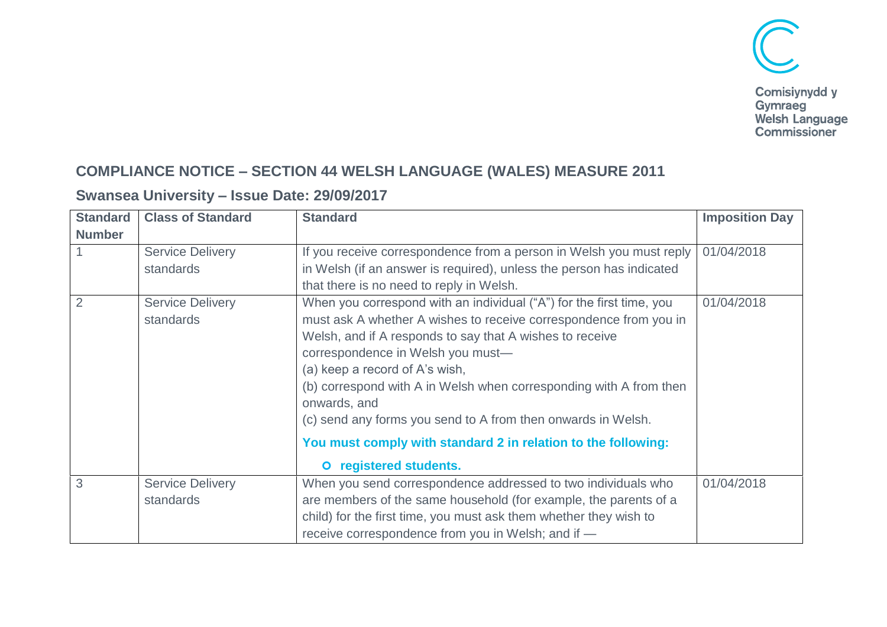

## **COMPLIANCE NOTICE – SECTION 44 WELSH LANGUAGE (WALES) MEASURE 2011**

## **Swansea University – Issue Date: 29/09/2017**

| <b>Standard</b> | <b>Class of Standard</b>             | <b>Standard</b>                                                                                                                                                                                                                                                                                                                                                                                                                                                                                                               | <b>Imposition Day</b> |
|-----------------|--------------------------------------|-------------------------------------------------------------------------------------------------------------------------------------------------------------------------------------------------------------------------------------------------------------------------------------------------------------------------------------------------------------------------------------------------------------------------------------------------------------------------------------------------------------------------------|-----------------------|
| <b>Number</b>   |                                      |                                                                                                                                                                                                                                                                                                                                                                                                                                                                                                                               |                       |
|                 | <b>Service Delivery</b>              | If you receive correspondence from a person in Welsh you must reply                                                                                                                                                                                                                                                                                                                                                                                                                                                           | 01/04/2018            |
|                 | standards                            | in Welsh (if an answer is required), unless the person has indicated                                                                                                                                                                                                                                                                                                                                                                                                                                                          |                       |
|                 |                                      | that there is no need to reply in Welsh.                                                                                                                                                                                                                                                                                                                                                                                                                                                                                      |                       |
|                 | <b>Service Delivery</b><br>standards | When you correspond with an individual ("A") for the first time, you<br>must ask A whether A wishes to receive correspondence from you in<br>Welsh, and if A responds to say that A wishes to receive<br>correspondence in Welsh you must-<br>(a) keep a record of A's wish,<br>(b) correspond with A in Welsh when corresponding with A from then<br>onwards, and<br>(c) send any forms you send to A from then onwards in Welsh.<br>You must comply with standard 2 in relation to the following:<br>O registered students. | 01/04/2018            |
| 3               | <b>Service Delivery</b>              | When you send correspondence addressed to two individuals who                                                                                                                                                                                                                                                                                                                                                                                                                                                                 | 01/04/2018            |
|                 | standards                            | are members of the same household (for example, the parents of a                                                                                                                                                                                                                                                                                                                                                                                                                                                              |                       |
|                 |                                      | child) for the first time, you must ask them whether they wish to                                                                                                                                                                                                                                                                                                                                                                                                                                                             |                       |
|                 |                                      | receive correspondence from you in Welsh; and if -                                                                                                                                                                                                                                                                                                                                                                                                                                                                            |                       |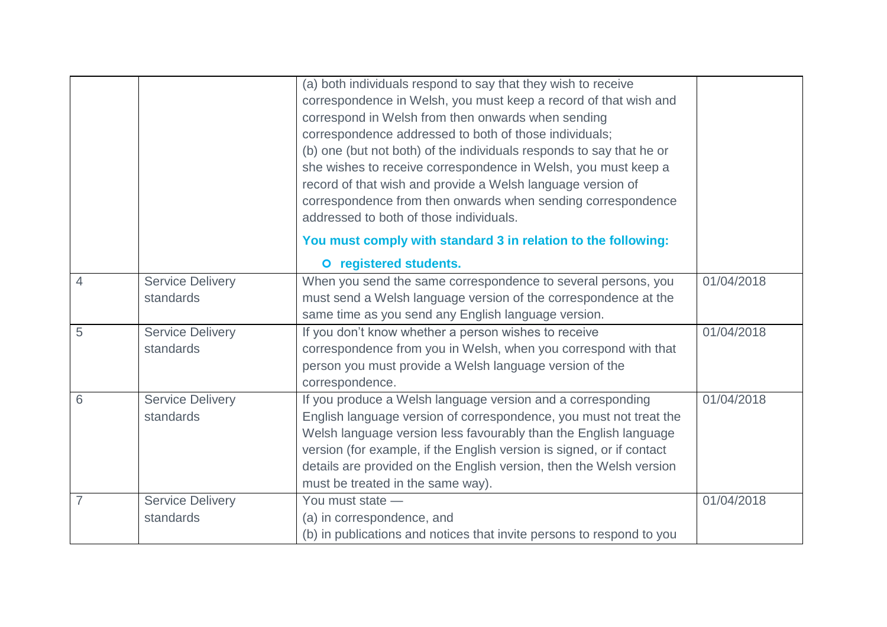|                |                                      | (a) both individuals respond to say that they wish to receive<br>correspondence in Welsh, you must keep a record of that wish and<br>correspond in Welsh from then onwards when sending<br>correspondence addressed to both of those individuals;<br>(b) one (but not both) of the individuals responds to say that he or<br>she wishes to receive correspondence in Welsh, you must keep a<br>record of that wish and provide a Welsh language version of<br>correspondence from then onwards when sending correspondence<br>addressed to both of those individuals. |            |
|----------------|--------------------------------------|-----------------------------------------------------------------------------------------------------------------------------------------------------------------------------------------------------------------------------------------------------------------------------------------------------------------------------------------------------------------------------------------------------------------------------------------------------------------------------------------------------------------------------------------------------------------------|------------|
|                |                                      | You must comply with standard 3 in relation to the following:                                                                                                                                                                                                                                                                                                                                                                                                                                                                                                         |            |
|                |                                      | O registered students.                                                                                                                                                                                                                                                                                                                                                                                                                                                                                                                                                |            |
| 4              | <b>Service Delivery</b><br>standards | When you send the same correspondence to several persons, you<br>must send a Welsh language version of the correspondence at the<br>same time as you send any English language version.                                                                                                                                                                                                                                                                                                                                                                               | 01/04/2018 |
| 5              | <b>Service Delivery</b><br>standards | If you don't know whether a person wishes to receive<br>correspondence from you in Welsh, when you correspond with that<br>person you must provide a Welsh language version of the<br>correspondence.                                                                                                                                                                                                                                                                                                                                                                 | 01/04/2018 |
| 6              | <b>Service Delivery</b><br>standards | If you produce a Welsh language version and a corresponding<br>English language version of correspondence, you must not treat the<br>Welsh language version less favourably than the English language<br>version (for example, if the English version is signed, or if contact<br>details are provided on the English version, then the Welsh version<br>must be treated in the same way).                                                                                                                                                                            | 01/04/2018 |
| $\overline{7}$ | <b>Service Delivery</b><br>standards | You must state -<br>(a) in correspondence, and<br>(b) in publications and notices that invite persons to respond to you                                                                                                                                                                                                                                                                                                                                                                                                                                               | 01/04/2018 |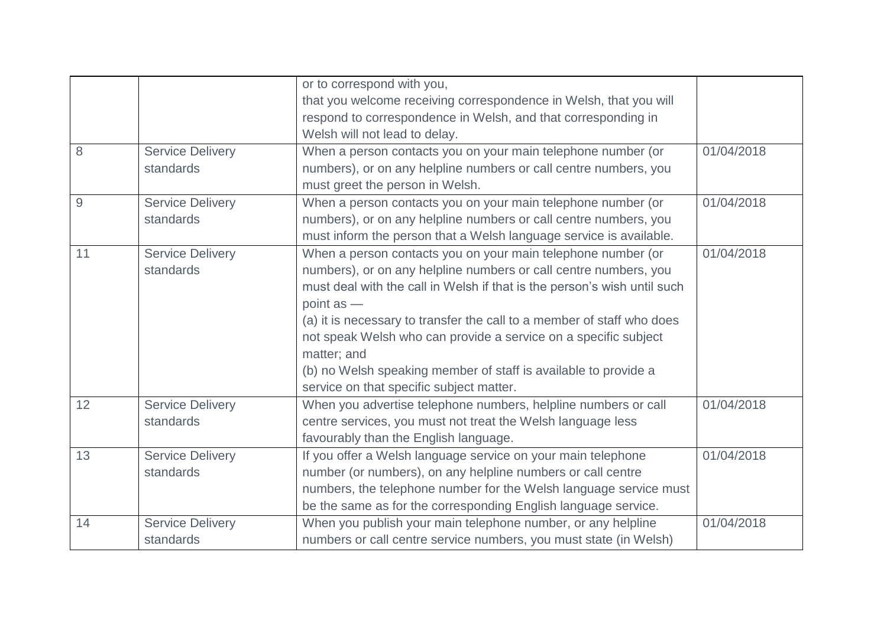|     |                         | or to correspond with you,                                               |            |
|-----|-------------------------|--------------------------------------------------------------------------|------------|
|     |                         | that you welcome receiving correspondence in Welsh, that you will        |            |
|     |                         | respond to correspondence in Welsh, and that corresponding in            |            |
|     |                         | Welsh will not lead to delay.                                            |            |
| 8   | <b>Service Delivery</b> | When a person contacts you on your main telephone number (or             | 01/04/2018 |
|     | standards               | numbers), or on any helpline numbers or call centre numbers, you         |            |
|     |                         | must greet the person in Welsh.                                          |            |
| $9$ | <b>Service Delivery</b> | When a person contacts you on your main telephone number (or             | 01/04/2018 |
|     | standards               | numbers), or on any helpline numbers or call centre numbers, you         |            |
|     |                         | must inform the person that a Welsh language service is available.       |            |
| 11  | <b>Service Delivery</b> | When a person contacts you on your main telephone number (or             | 01/04/2018 |
|     | standards               | numbers), or on any helpline numbers or call centre numbers, you         |            |
|     |                         | must deal with the call in Welsh if that is the person's wish until such |            |
|     |                         | point $as -$                                                             |            |
|     |                         | (a) it is necessary to transfer the call to a member of staff who does   |            |
|     |                         | not speak Welsh who can provide a service on a specific subject          |            |
|     |                         | matter; and                                                              |            |
|     |                         | (b) no Welsh speaking member of staff is available to provide a          |            |
|     |                         | service on that specific subject matter.                                 |            |
| 12  | <b>Service Delivery</b> | When you advertise telephone numbers, helpline numbers or call           | 01/04/2018 |
|     | standards               | centre services, you must not treat the Welsh language less              |            |
|     |                         | favourably than the English language.                                    |            |
| 13  | <b>Service Delivery</b> | If you offer a Welsh language service on your main telephone             | 01/04/2018 |
|     | standards               | number (or numbers), on any helpline numbers or call centre              |            |
|     |                         | numbers, the telephone number for the Welsh language service must        |            |
|     |                         | be the same as for the corresponding English language service.           |            |
| 14  | <b>Service Delivery</b> | When you publish your main telephone number, or any helpline             | 01/04/2018 |
|     | standards               | numbers or call centre service numbers, you must state (in Welsh)        |            |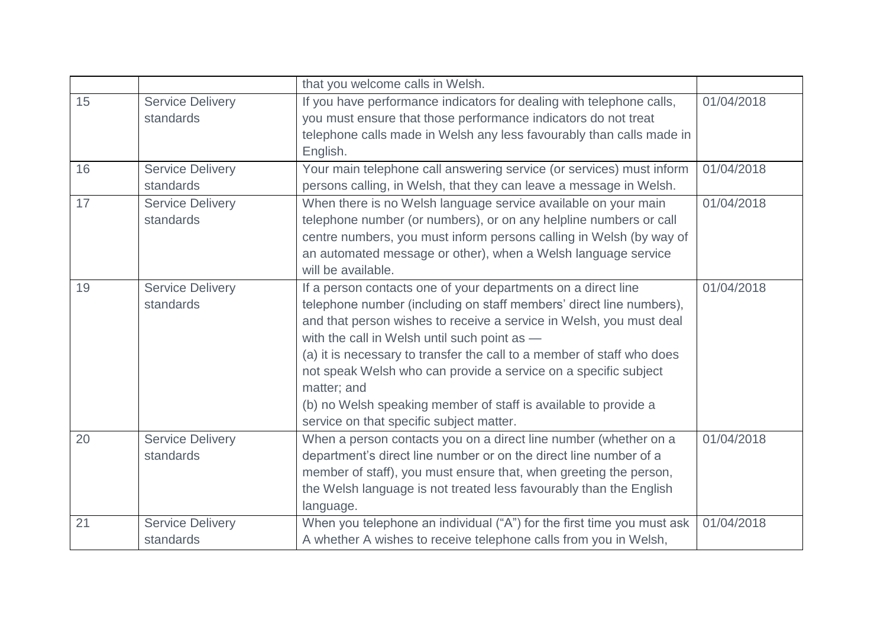|    |                         | that you welcome calls in Welsh.                                       |            |
|----|-------------------------|------------------------------------------------------------------------|------------|
| 15 | <b>Service Delivery</b> | If you have performance indicators for dealing with telephone calls,   | 01/04/2018 |
|    | standards               | you must ensure that those performance indicators do not treat         |            |
|    |                         | telephone calls made in Welsh any less favourably than calls made in   |            |
|    |                         | English.                                                               |            |
| 16 | <b>Service Delivery</b> | Your main telephone call answering service (or services) must inform   | 01/04/2018 |
|    | standards               | persons calling, in Welsh, that they can leave a message in Welsh.     |            |
| 17 | <b>Service Delivery</b> | When there is no Welsh language service available on your main         | 01/04/2018 |
|    | standards               | telephone number (or numbers), or on any helpline numbers or call      |            |
|    |                         | centre numbers, you must inform persons calling in Welsh (by way of    |            |
|    |                         | an automated message or other), when a Welsh language service          |            |
|    |                         | will be available.                                                     |            |
| 19 | <b>Service Delivery</b> | If a person contacts one of your departments on a direct line          | 01/04/2018 |
|    | standards               | telephone number (including on staff members' direct line numbers),    |            |
|    |                         | and that person wishes to receive a service in Welsh, you must deal    |            |
|    |                         | with the call in Welsh until such point as -                           |            |
|    |                         | (a) it is necessary to transfer the call to a member of staff who does |            |
|    |                         | not speak Welsh who can provide a service on a specific subject        |            |
|    |                         | matter; and                                                            |            |
|    |                         | (b) no Welsh speaking member of staff is available to provide a        |            |
|    |                         | service on that specific subject matter.                               |            |
| 20 | <b>Service Delivery</b> | When a person contacts you on a direct line number (whether on a       | 01/04/2018 |
|    | standards               | department's direct line number or on the direct line number of a      |            |
|    |                         | member of staff), you must ensure that, when greeting the person,      |            |
|    |                         | the Welsh language is not treated less favourably than the English     |            |
|    |                         | language.                                                              |            |
| 21 | <b>Service Delivery</b> | When you telephone an individual ("A") for the first time you must ask | 01/04/2018 |
|    | standards               | A whether A wishes to receive telephone calls from you in Welsh,       |            |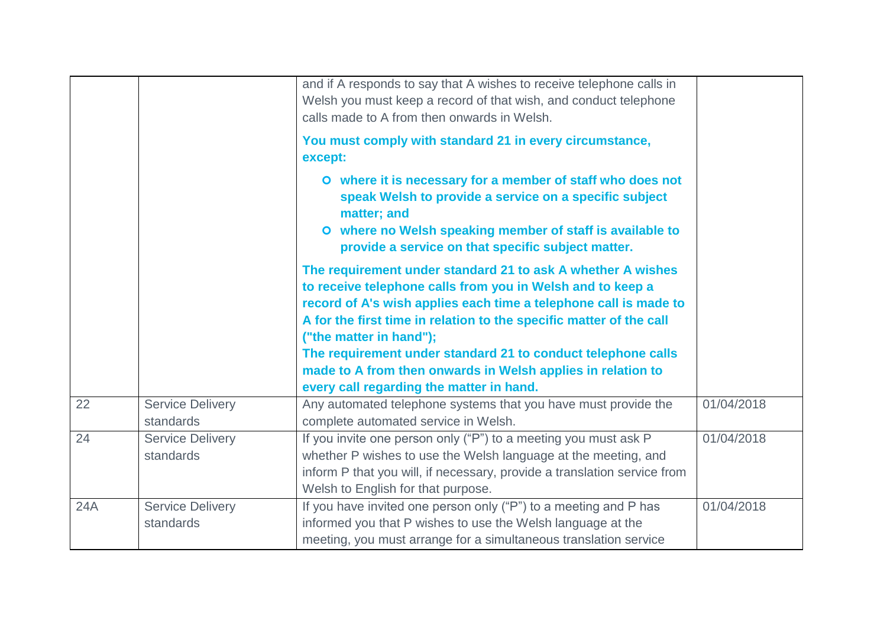|     |                                      | and if A responds to say that A wishes to receive telephone calls in<br>Welsh you must keep a record of that wish, and conduct telephone<br>calls made to A from then onwards in Welsh.<br>You must comply with standard 21 in every circumstance,<br>except:                                                                                                                                                                                                              |            |
|-----|--------------------------------------|----------------------------------------------------------------------------------------------------------------------------------------------------------------------------------------------------------------------------------------------------------------------------------------------------------------------------------------------------------------------------------------------------------------------------------------------------------------------------|------------|
|     |                                      | O where it is necessary for a member of staff who does not<br>speak Welsh to provide a service on a specific subject<br>matter; and<br>O where no Welsh speaking member of staff is available to<br>provide a service on that specific subject matter.                                                                                                                                                                                                                     |            |
|     |                                      | The requirement under standard 21 to ask A whether A wishes<br>to receive telephone calls from you in Welsh and to keep a<br>record of A's wish applies each time a telephone call is made to<br>A for the first time in relation to the specific matter of the call<br>("the matter in hand");<br>The requirement under standard 21 to conduct telephone calls<br>made to A from then onwards in Welsh applies in relation to<br>every call regarding the matter in hand. |            |
| 22  | <b>Service Delivery</b><br>standards | Any automated telephone systems that you have must provide the<br>complete automated service in Welsh.                                                                                                                                                                                                                                                                                                                                                                     | 01/04/2018 |
| 24  | <b>Service Delivery</b><br>standards | If you invite one person only ("P") to a meeting you must ask P<br>whether P wishes to use the Welsh language at the meeting, and<br>inform P that you will, if necessary, provide a translation service from<br>Welsh to English for that purpose.                                                                                                                                                                                                                        | 01/04/2018 |
| 24A | <b>Service Delivery</b><br>standards | If you have invited one person only ("P") to a meeting and P has<br>informed you that P wishes to use the Welsh language at the<br>meeting, you must arrange for a simultaneous translation service                                                                                                                                                                                                                                                                        | 01/04/2018 |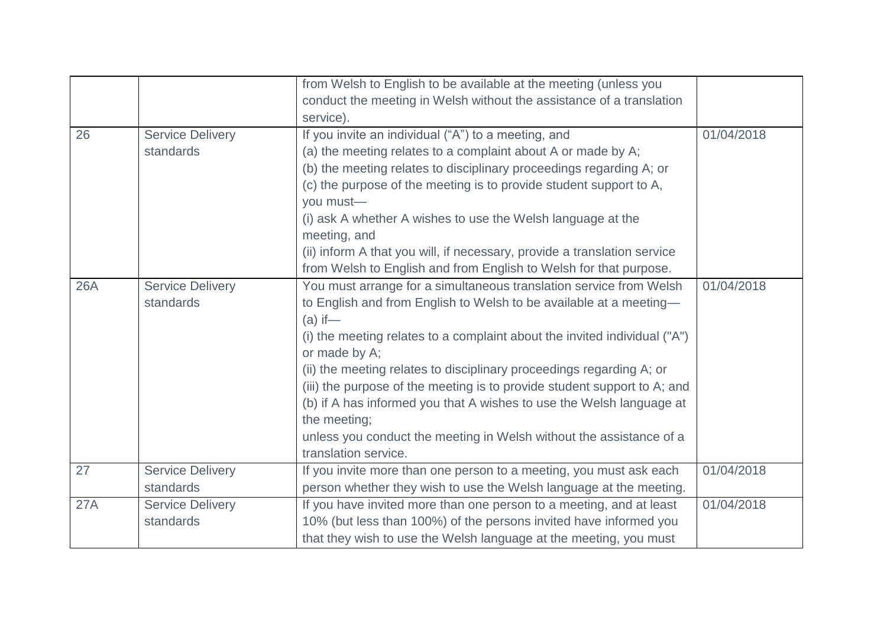|     |                         | from Welsh to English to be available at the meeting (unless you          |            |
|-----|-------------------------|---------------------------------------------------------------------------|------------|
|     |                         | conduct the meeting in Welsh without the assistance of a translation      |            |
|     |                         | service).                                                                 |            |
| 26  | <b>Service Delivery</b> | If you invite an individual ("A") to a meeting, and                       | 01/04/2018 |
|     | standards               | (a) the meeting relates to a complaint about A or made by A;              |            |
|     |                         | (b) the meeting relates to disciplinary proceedings regarding A; or       |            |
|     |                         | (c) the purpose of the meeting is to provide student support to A,        |            |
|     |                         | you must-                                                                 |            |
|     |                         | (i) ask A whether A wishes to use the Welsh language at the               |            |
|     |                         | meeting, and                                                              |            |
|     |                         | (ii) inform A that you will, if necessary, provide a translation service  |            |
|     |                         | from Welsh to English and from English to Welsh for that purpose.         |            |
| 26A | <b>Service Delivery</b> | You must arrange for a simultaneous translation service from Welsh        | 01/04/2018 |
|     | standards               | to English and from English to Welsh to be available at a meeting-        |            |
|     |                         | $(a)$ if —                                                                |            |
|     |                         | (i) the meeting relates to a complaint about the invited individual ("A") |            |
|     |                         | or made by A;                                                             |            |
|     |                         | (ii) the meeting relates to disciplinary proceedings regarding A; or      |            |
|     |                         | (iii) the purpose of the meeting is to provide student support to A; and  |            |
|     |                         | (b) if A has informed you that A wishes to use the Welsh language at      |            |
|     |                         | the meeting;                                                              |            |
|     |                         | unless you conduct the meeting in Welsh without the assistance of a       |            |
|     |                         | translation service.                                                      |            |
| 27  | <b>Service Delivery</b> | If you invite more than one person to a meeting, you must ask each        | 01/04/2018 |
|     | standards               | person whether they wish to use the Welsh language at the meeting.        |            |
| 27A | <b>Service Delivery</b> | If you have invited more than one person to a meeting, and at least       | 01/04/2018 |
|     | standards               | 10% (but less than 100%) of the persons invited have informed you         |            |
|     |                         | that they wish to use the Welsh language at the meeting, you must         |            |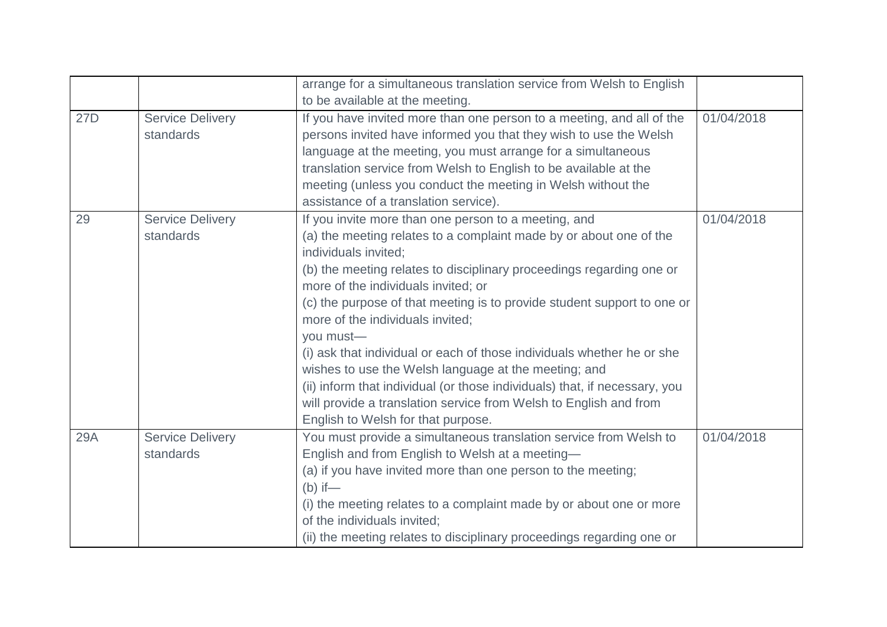|     |                                      | arrange for a simultaneous translation service from Welsh to English<br>to be available at the meeting.                                                                                                                                                                                                                                                                                                                                                                                                                                                                                                                                                                                                                  |            |
|-----|--------------------------------------|--------------------------------------------------------------------------------------------------------------------------------------------------------------------------------------------------------------------------------------------------------------------------------------------------------------------------------------------------------------------------------------------------------------------------------------------------------------------------------------------------------------------------------------------------------------------------------------------------------------------------------------------------------------------------------------------------------------------------|------------|
| 27D | <b>Service Delivery</b><br>standards | If you have invited more than one person to a meeting, and all of the<br>persons invited have informed you that they wish to use the Welsh<br>language at the meeting, you must arrange for a simultaneous<br>translation service from Welsh to English to be available at the<br>meeting (unless you conduct the meeting in Welsh without the<br>assistance of a translation service).                                                                                                                                                                                                                                                                                                                                  | 01/04/2018 |
| 29  | <b>Service Delivery</b><br>standards | If you invite more than one person to a meeting, and<br>(a) the meeting relates to a complaint made by or about one of the<br>individuals invited:<br>(b) the meeting relates to disciplinary proceedings regarding one or<br>more of the individuals invited; or<br>(c) the purpose of that meeting is to provide student support to one or<br>more of the individuals invited;<br>you must-<br>(i) ask that individual or each of those individuals whether he or she<br>wishes to use the Welsh language at the meeting; and<br>(ii) inform that individual (or those individuals) that, if necessary, you<br>will provide a translation service from Welsh to English and from<br>English to Welsh for that purpose. | 01/04/2018 |
| 29A | <b>Service Delivery</b><br>standards | You must provide a simultaneous translation service from Welsh to<br>English and from English to Welsh at a meeting-<br>(a) if you have invited more than one person to the meeting;<br>$(b)$ if —<br>(i) the meeting relates to a complaint made by or about one or more<br>of the individuals invited;<br>(ii) the meeting relates to disciplinary proceedings regarding one or                                                                                                                                                                                                                                                                                                                                        | 01/04/2018 |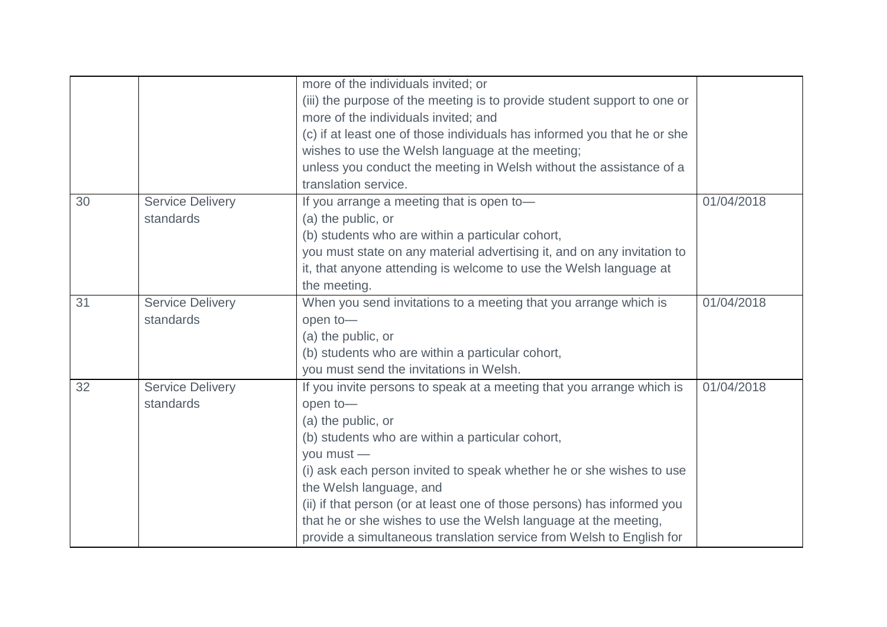|    |                         | more of the individuals invited; or                                      |            |
|----|-------------------------|--------------------------------------------------------------------------|------------|
|    |                         | (iii) the purpose of the meeting is to provide student support to one or |            |
|    |                         | more of the individuals invited; and                                     |            |
|    |                         | (c) if at least one of those individuals has informed you that he or she |            |
|    |                         | wishes to use the Welsh language at the meeting;                         |            |
|    |                         | unless you conduct the meeting in Welsh without the assistance of a      |            |
|    |                         | translation service.                                                     |            |
| 30 | <b>Service Delivery</b> | If you arrange a meeting that is open to-                                | 01/04/2018 |
|    | standards               | (a) the public, or                                                       |            |
|    |                         | (b) students who are within a particular cohort,                         |            |
|    |                         | you must state on any material advertising it, and on any invitation to  |            |
|    |                         | it, that anyone attending is welcome to use the Welsh language at        |            |
|    |                         | the meeting.                                                             |            |
| 31 | <b>Service Delivery</b> | When you send invitations to a meeting that you arrange which is         | 01/04/2018 |
|    | standards               | open to-                                                                 |            |
|    |                         | (a) the public, or                                                       |            |
|    |                         | (b) students who are within a particular cohort,                         |            |
|    |                         | you must send the invitations in Welsh.                                  |            |
| 32 | <b>Service Delivery</b> | If you invite persons to speak at a meeting that you arrange which is    | 01/04/2018 |
|    | standards               | open to-                                                                 |            |
|    |                         | (a) the public, or                                                       |            |
|    |                         | (b) students who are within a particular cohort,                         |            |
|    |                         | you must -                                                               |            |
|    |                         | (i) ask each person invited to speak whether he or she wishes to use     |            |
|    |                         | the Welsh language, and                                                  |            |
|    |                         | (ii) if that person (or at least one of those persons) has informed you  |            |
|    |                         | that he or she wishes to use the Welsh language at the meeting,          |            |
|    |                         | provide a simultaneous translation service from Welsh to English for     |            |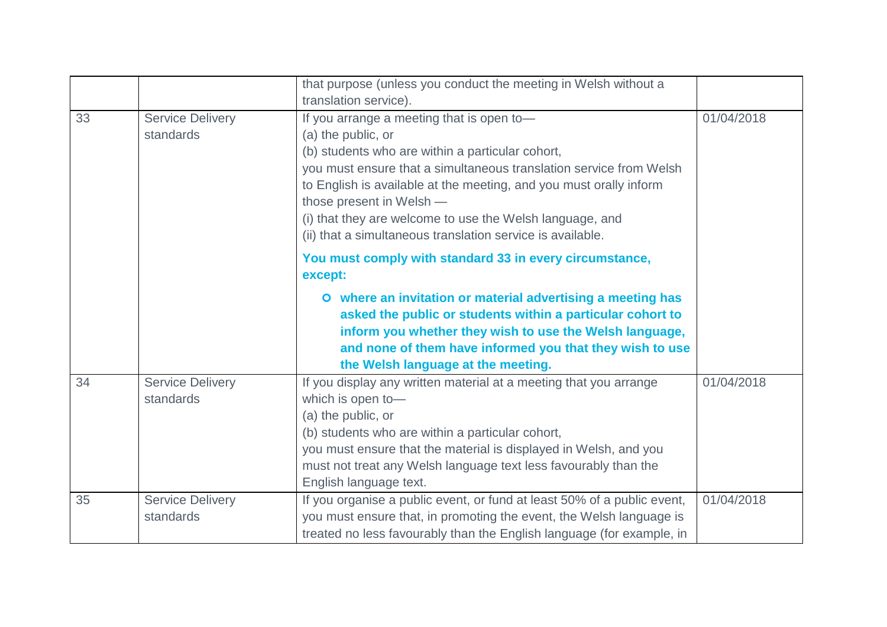|    |                                      | that purpose (unless you conduct the meeting in Welsh without a<br>translation service).                                                                                                                                                                                                                                                                                                                              |            |
|----|--------------------------------------|-----------------------------------------------------------------------------------------------------------------------------------------------------------------------------------------------------------------------------------------------------------------------------------------------------------------------------------------------------------------------------------------------------------------------|------------|
| 33 | <b>Service Delivery</b><br>standards | If you arrange a meeting that is open to-<br>(a) the public, or<br>(b) students who are within a particular cohort,<br>you must ensure that a simultaneous translation service from Welsh<br>to English is available at the meeting, and you must orally inform<br>those present in Welsh -<br>(i) that they are welcome to use the Welsh language, and<br>(ii) that a simultaneous translation service is available. | 01/04/2018 |
|    |                                      | You must comply with standard 33 in every circumstance,<br>except:<br>O where an invitation or material advertising a meeting has<br>asked the public or students within a particular cohort to<br>inform you whether they wish to use the Welsh language,<br>and none of them have informed you that they wish to use<br>the Welsh language at the meeting.                                                          |            |
| 34 | <b>Service Delivery</b><br>standards | If you display any written material at a meeting that you arrange<br>which is open to-<br>(a) the public, or<br>(b) students who are within a particular cohort,<br>you must ensure that the material is displayed in Welsh, and you<br>must not treat any Welsh language text less favourably than the<br>English language text.                                                                                     | 01/04/2018 |
| 35 | <b>Service Delivery</b><br>standards | If you organise a public event, or fund at least 50% of a public event,<br>you must ensure that, in promoting the event, the Welsh language is<br>treated no less favourably than the English language (for example, in                                                                                                                                                                                               | 01/04/2018 |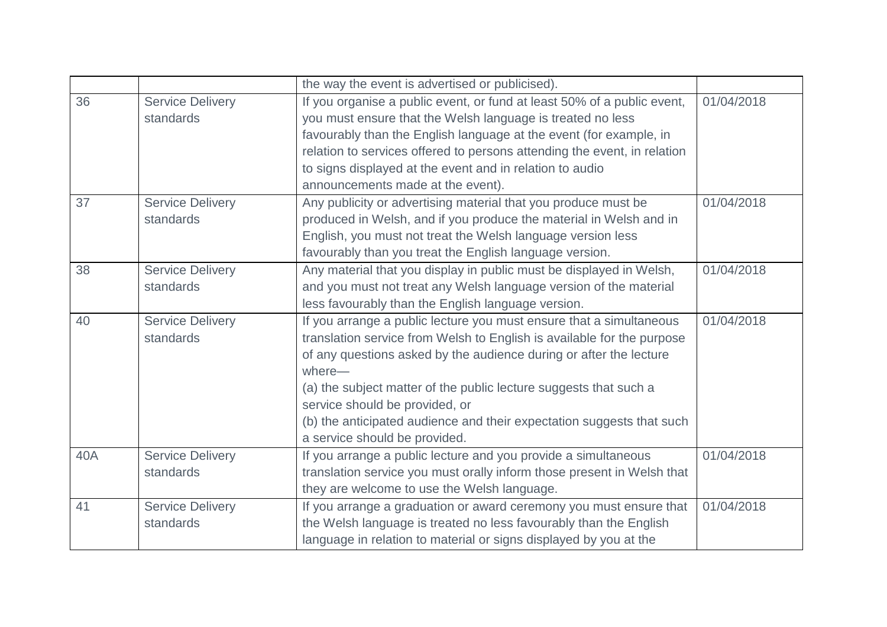|     |                         | the way the event is advertised or publicised).                          |            |
|-----|-------------------------|--------------------------------------------------------------------------|------------|
| 36  | <b>Service Delivery</b> | If you organise a public event, or fund at least 50% of a public event,  | 01/04/2018 |
|     | standards               | you must ensure that the Welsh language is treated no less               |            |
|     |                         | favourably than the English language at the event (for example, in       |            |
|     |                         | relation to services offered to persons attending the event, in relation |            |
|     |                         | to signs displayed at the event and in relation to audio                 |            |
|     |                         | announcements made at the event).                                        |            |
| 37  | <b>Service Delivery</b> | Any publicity or advertising material that you produce must be           | 01/04/2018 |
|     | standards               | produced in Welsh, and if you produce the material in Welsh and in       |            |
|     |                         | English, you must not treat the Welsh language version less              |            |
|     |                         | favourably than you treat the English language version.                  |            |
| 38  | <b>Service Delivery</b> | Any material that you display in public must be displayed in Welsh,      | 01/04/2018 |
|     | standards               | and you must not treat any Welsh language version of the material        |            |
|     |                         | less favourably than the English language version.                       |            |
| 40  | <b>Service Delivery</b> | If you arrange a public lecture you must ensure that a simultaneous      | 01/04/2018 |
|     | standards               | translation service from Welsh to English is available for the purpose   |            |
|     |                         | of any questions asked by the audience during or after the lecture       |            |
|     |                         | where-                                                                   |            |
|     |                         | (a) the subject matter of the public lecture suggests that such a        |            |
|     |                         | service should be provided, or                                           |            |
|     |                         | (b) the anticipated audience and their expectation suggests that such    |            |
|     |                         | a service should be provided.                                            |            |
| 40A | <b>Service Delivery</b> | If you arrange a public lecture and you provide a simultaneous           | 01/04/2018 |
|     | standards               | translation service you must orally inform those present in Welsh that   |            |
|     |                         | they are welcome to use the Welsh language.                              |            |
| 41  | <b>Service Delivery</b> | If you arrange a graduation or award ceremony you must ensure that       | 01/04/2018 |
|     | standards               | the Welsh language is treated no less favourably than the English        |            |
|     |                         | language in relation to material or signs displayed by you at the        |            |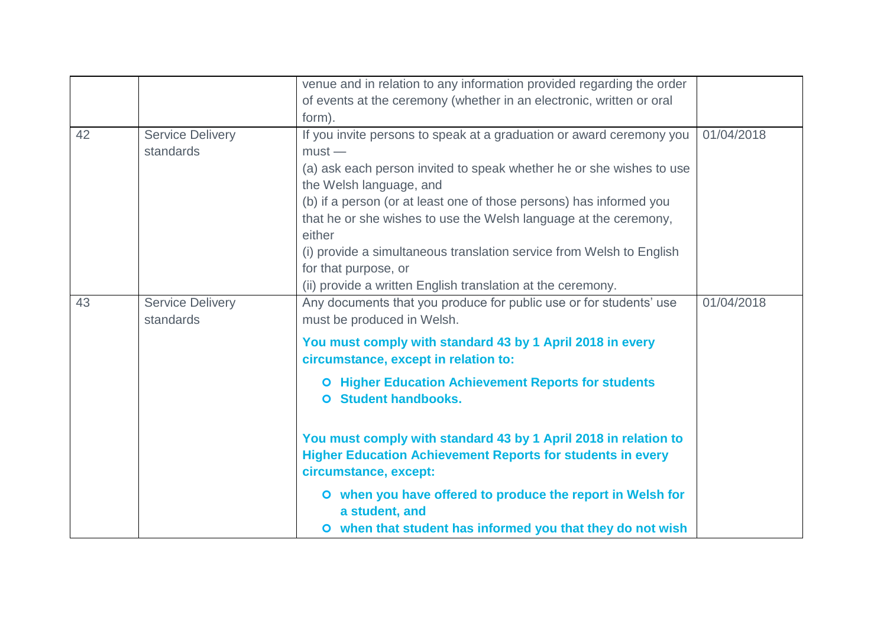|    |                                      | venue and in relation to any information provided regarding the order                                                                                         |            |
|----|--------------------------------------|---------------------------------------------------------------------------------------------------------------------------------------------------------------|------------|
|    |                                      | of events at the ceremony (whether in an electronic, written or oral                                                                                          |            |
|    |                                      | form).                                                                                                                                                        |            |
| 42 | <b>Service Delivery</b><br>standards | If you invite persons to speak at a graduation or award ceremony you<br>$must -$                                                                              | 01/04/2018 |
|    |                                      | (a) ask each person invited to speak whether he or she wishes to use<br>the Welsh language, and                                                               |            |
|    |                                      | (b) if a person (or at least one of those persons) has informed you                                                                                           |            |
|    |                                      | that he or she wishes to use the Welsh language at the ceremony,<br>either                                                                                    |            |
|    |                                      | (i) provide a simultaneous translation service from Welsh to English<br>for that purpose, or                                                                  |            |
|    |                                      | (ii) provide a written English translation at the ceremony.                                                                                                   |            |
| 43 | <b>Service Delivery</b><br>standards | Any documents that you produce for public use or for students' use<br>must be produced in Welsh.                                                              | 01/04/2018 |
|    |                                      | You must comply with standard 43 by 1 April 2018 in every<br>circumstance, except in relation to:                                                             |            |
|    |                                      | <b>O</b> Higher Education Achievement Reports for students<br><b>Student handbooks.</b><br>O.                                                                 |            |
|    |                                      | You must comply with standard 43 by 1 April 2018 in relation to<br><b>Higher Education Achievement Reports for students in every</b><br>circumstance, except: |            |
|    |                                      | O when you have offered to produce the report in Welsh for<br>a student, and                                                                                  |            |
|    |                                      | O when that student has informed you that they do not wish                                                                                                    |            |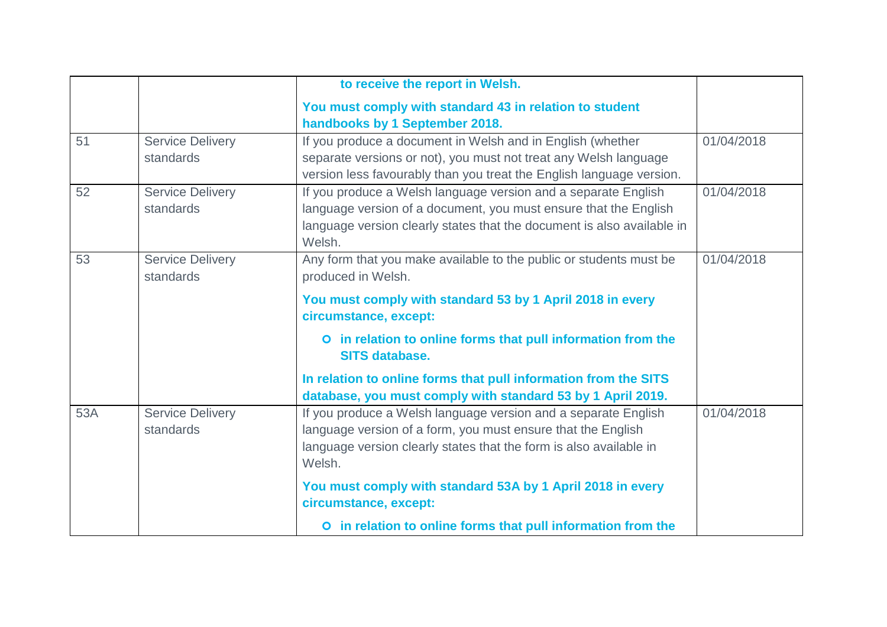|     |                                      | to receive the report in Welsh.                                                                                                                                                                                |            |
|-----|--------------------------------------|----------------------------------------------------------------------------------------------------------------------------------------------------------------------------------------------------------------|------------|
|     |                                      | You must comply with standard 43 in relation to student                                                                                                                                                        |            |
|     |                                      | handbooks by 1 September 2018.                                                                                                                                                                                 |            |
| 51  | <b>Service Delivery</b>              | If you produce a document in Welsh and in English (whether                                                                                                                                                     | 01/04/2018 |
|     | standards                            | separate versions or not), you must not treat any Welsh language                                                                                                                                               |            |
|     |                                      | version less favourably than you treat the English language version.                                                                                                                                           |            |
| 52  | <b>Service Delivery</b>              | If you produce a Welsh language version and a separate English                                                                                                                                                 | 01/04/2018 |
|     | standards                            | language version of a document, you must ensure that the English                                                                                                                                               |            |
|     |                                      | language version clearly states that the document is also available in<br>Welsh.                                                                                                                               |            |
| 53  | <b>Service Delivery</b>              | Any form that you make available to the public or students must be                                                                                                                                             | 01/04/2018 |
|     | standards                            | produced in Welsh.                                                                                                                                                                                             |            |
|     |                                      | You must comply with standard 53 by 1 April 2018 in every<br>circumstance, except:                                                                                                                             |            |
|     |                                      | O in relation to online forms that pull information from the<br><b>SITS database.</b>                                                                                                                          |            |
|     |                                      | In relation to online forms that pull information from the SITS<br>database, you must comply with standard 53 by 1 April 2019.                                                                                 |            |
| 53A | <b>Service Delivery</b><br>standards | If you produce a Welsh language version and a separate English<br>language version of a form, you must ensure that the English<br>language version clearly states that the form is also available in<br>Welsh. | 01/04/2018 |
|     |                                      | You must comply with standard 53A by 1 April 2018 in every<br>circumstance, except:                                                                                                                            |            |
|     |                                      | O in relation to online forms that pull information from the                                                                                                                                                   |            |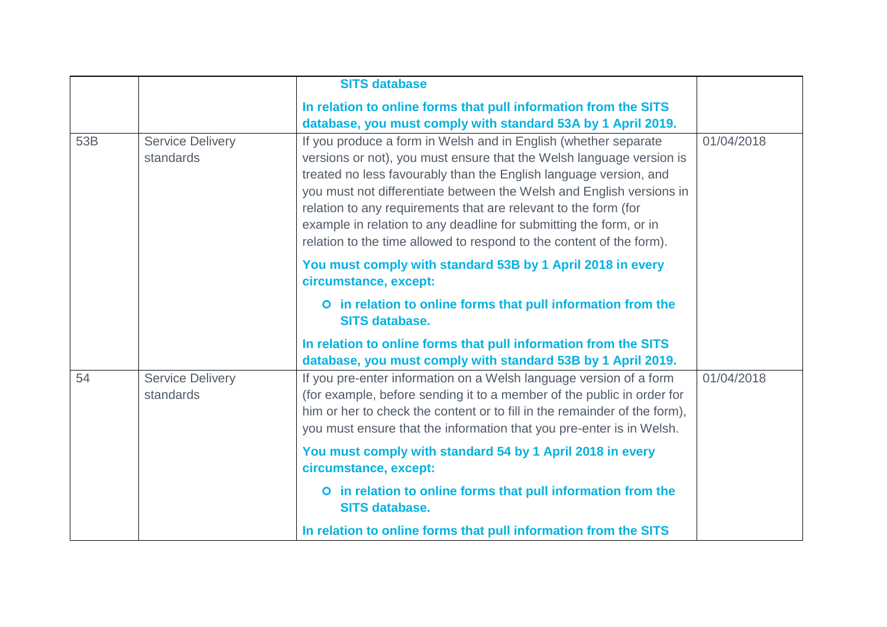|     |                                      | <b>SITS database</b>                                                                                                                                                                                                                                                                                                                                                                                                                                                                                  |            |
|-----|--------------------------------------|-------------------------------------------------------------------------------------------------------------------------------------------------------------------------------------------------------------------------------------------------------------------------------------------------------------------------------------------------------------------------------------------------------------------------------------------------------------------------------------------------------|------------|
|     |                                      | In relation to online forms that pull information from the SITS                                                                                                                                                                                                                                                                                                                                                                                                                                       |            |
|     |                                      | database, you must comply with standard 53A by 1 April 2019.                                                                                                                                                                                                                                                                                                                                                                                                                                          |            |
| 53B | <b>Service Delivery</b><br>standards | If you produce a form in Welsh and in English (whether separate<br>versions or not), you must ensure that the Welsh language version is<br>treated no less favourably than the English language version, and<br>you must not differentiate between the Welsh and English versions in<br>relation to any requirements that are relevant to the form (for<br>example in relation to any deadline for submitting the form, or in<br>relation to the time allowed to respond to the content of the form). | 01/04/2018 |
|     |                                      | You must comply with standard 53B by 1 April 2018 in every<br>circumstance, except:                                                                                                                                                                                                                                                                                                                                                                                                                   |            |
|     |                                      | O in relation to online forms that pull information from the<br><b>SITS database.</b>                                                                                                                                                                                                                                                                                                                                                                                                                 |            |
|     |                                      | In relation to online forms that pull information from the SITS<br>database, you must comply with standard 53B by 1 April 2019.                                                                                                                                                                                                                                                                                                                                                                       |            |
| 54  | <b>Service Delivery</b><br>standards | If you pre-enter information on a Welsh language version of a form<br>(for example, before sending it to a member of the public in order for<br>him or her to check the content or to fill in the remainder of the form),<br>you must ensure that the information that you pre-enter is in Welsh.                                                                                                                                                                                                     | 01/04/2018 |
|     |                                      | You must comply with standard 54 by 1 April 2018 in every<br>circumstance, except:                                                                                                                                                                                                                                                                                                                                                                                                                    |            |
|     |                                      | O in relation to online forms that pull information from the<br><b>SITS database.</b>                                                                                                                                                                                                                                                                                                                                                                                                                 |            |
|     |                                      | In relation to online forms that pull information from the SITS                                                                                                                                                                                                                                                                                                                                                                                                                                       |            |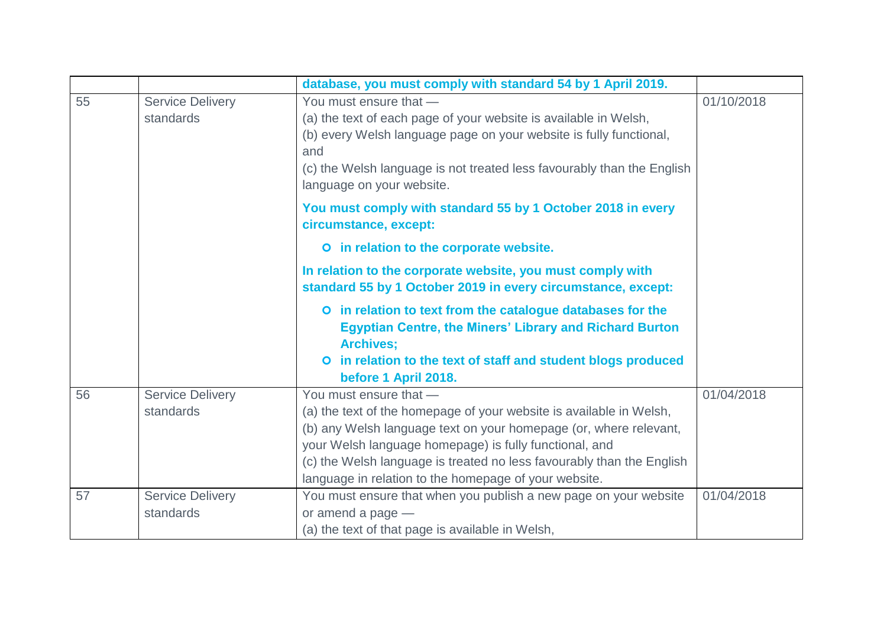|    |                                      | database, you must comply with standard 54 by 1 April 2019.                                                                                                                                                                                                                                                                                                    |            |
|----|--------------------------------------|----------------------------------------------------------------------------------------------------------------------------------------------------------------------------------------------------------------------------------------------------------------------------------------------------------------------------------------------------------------|------------|
| 55 | <b>Service Delivery</b><br>standards | You must ensure that -<br>(a) the text of each page of your website is available in Welsh,<br>(b) every Welsh language page on your website is fully functional,<br>and<br>(c) the Welsh language is not treated less favourably than the English<br>language on your website.                                                                                 | 01/10/2018 |
|    |                                      | You must comply with standard 55 by 1 October 2018 in every<br>circumstance, except:                                                                                                                                                                                                                                                                           |            |
|    |                                      | O in relation to the corporate website.                                                                                                                                                                                                                                                                                                                        |            |
|    |                                      | In relation to the corporate website, you must comply with<br>standard 55 by 1 October 2019 in every circumstance, except:                                                                                                                                                                                                                                     |            |
|    |                                      | O in relation to text from the catalogue databases for the<br><b>Egyptian Centre, the Miners' Library and Richard Burton</b><br><b>Archives;</b><br>O in relation to the text of staff and student blogs produced<br>before 1 April 2018.                                                                                                                      |            |
| 56 | <b>Service Delivery</b><br>standards | You must ensure that -<br>(a) the text of the homepage of your website is available in Welsh,<br>(b) any Welsh language text on your homepage (or, where relevant,<br>your Welsh language homepage) is fully functional, and<br>(c) the Welsh language is treated no less favourably than the English<br>language in relation to the homepage of your website. | 01/04/2018 |
| 57 | <b>Service Delivery</b><br>standards | You must ensure that when you publish a new page on your website<br>or amend a page $-$<br>(a) the text of that page is available in Welsh,                                                                                                                                                                                                                    | 01/04/2018 |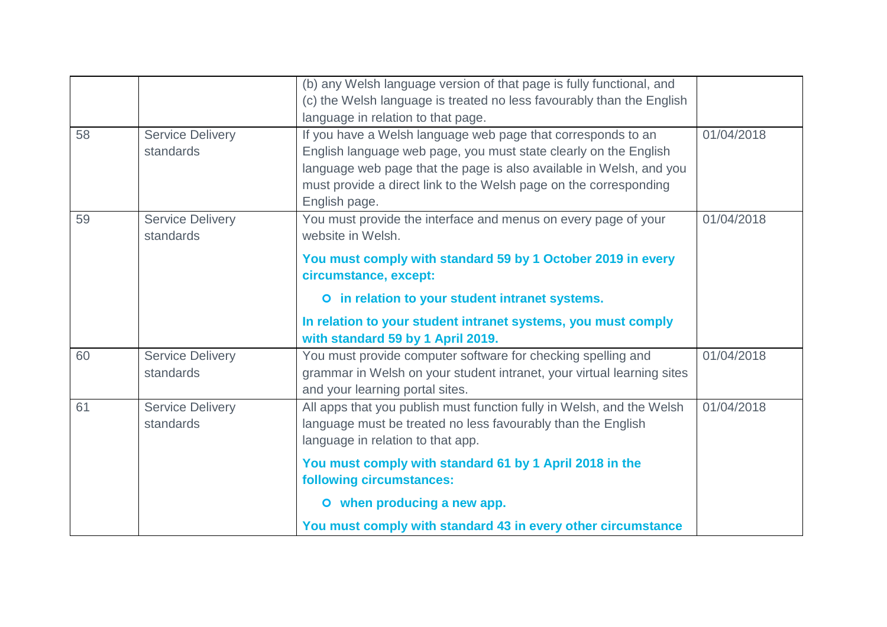|    |                         | (b) any Welsh language version of that page is fully functional, and   |            |
|----|-------------------------|------------------------------------------------------------------------|------------|
|    |                         | (c) the Welsh language is treated no less favourably than the English  |            |
|    |                         | language in relation to that page.                                     |            |
| 58 | <b>Service Delivery</b> | If you have a Welsh language web page that corresponds to an           | 01/04/2018 |
|    | standards               | English language web page, you must state clearly on the English       |            |
|    |                         | language web page that the page is also available in Welsh, and you    |            |
|    |                         | must provide a direct link to the Welsh page on the corresponding      |            |
|    |                         | English page.                                                          |            |
| 59 | <b>Service Delivery</b> | You must provide the interface and menus on every page of your         | 01/04/2018 |
|    | standards               | website in Welsh.                                                      |            |
|    |                         | You must comply with standard 59 by 1 October 2019 in every            |            |
|    |                         | circumstance, except:                                                  |            |
|    |                         | O in relation to your student intranet systems.                        |            |
|    |                         | In relation to your student intranet systems, you must comply          |            |
|    |                         | with standard 59 by 1 April 2019.                                      |            |
| 60 | <b>Service Delivery</b> | You must provide computer software for checking spelling and           | 01/04/2018 |
|    | standards               | grammar in Welsh on your student intranet, your virtual learning sites |            |
|    |                         | and your learning portal sites.                                        |            |
| 61 | <b>Service Delivery</b> | All apps that you publish must function fully in Welsh, and the Welsh  | 01/04/2018 |
|    | standards               | language must be treated no less favourably than the English           |            |
|    |                         | language in relation to that app.                                      |            |
|    |                         | You must comply with standard 61 by 1 April 2018 in the                |            |
|    |                         | following circumstances:                                               |            |
|    |                         | O when producing a new app.                                            |            |
|    |                         | You must comply with standard 43 in every other circumstance           |            |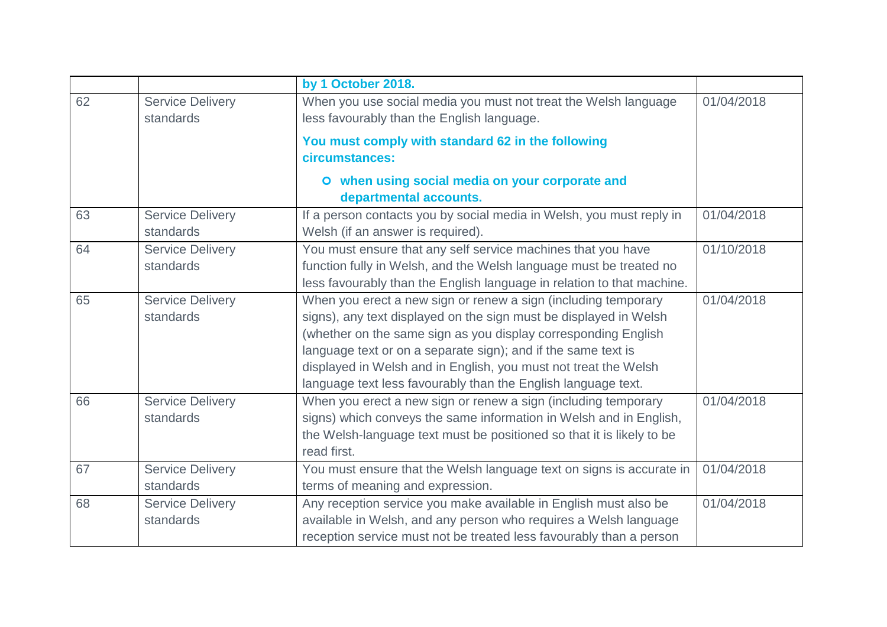|    |                                      | by 1 October 2018.                                                                                                                                                                                                                                                                                                                                                                                         |            |
|----|--------------------------------------|------------------------------------------------------------------------------------------------------------------------------------------------------------------------------------------------------------------------------------------------------------------------------------------------------------------------------------------------------------------------------------------------------------|------------|
| 62 | <b>Service Delivery</b><br>standards | When you use social media you must not treat the Welsh language<br>less favourably than the English language.                                                                                                                                                                                                                                                                                              | 01/04/2018 |
|    |                                      | You must comply with standard 62 in the following<br>circumstances:                                                                                                                                                                                                                                                                                                                                        |            |
|    |                                      | O when using social media on your corporate and<br>departmental accounts.                                                                                                                                                                                                                                                                                                                                  |            |
| 63 | <b>Service Delivery</b><br>standards | If a person contacts you by social media in Welsh, you must reply in<br>Welsh (if an answer is required).                                                                                                                                                                                                                                                                                                  | 01/04/2018 |
| 64 | <b>Service Delivery</b><br>standards | You must ensure that any self service machines that you have<br>function fully in Welsh, and the Welsh language must be treated no<br>less favourably than the English language in relation to that machine.                                                                                                                                                                                               | 01/10/2018 |
| 65 | <b>Service Delivery</b><br>standards | When you erect a new sign or renew a sign (including temporary<br>signs), any text displayed on the sign must be displayed in Welsh<br>(whether on the same sign as you display corresponding English<br>language text or on a separate sign); and if the same text is<br>displayed in Welsh and in English, you must not treat the Welsh<br>language text less favourably than the English language text. | 01/04/2018 |
| 66 | <b>Service Delivery</b><br>standards | When you erect a new sign or renew a sign (including temporary<br>signs) which conveys the same information in Welsh and in English,<br>the Welsh-language text must be positioned so that it is likely to be<br>read first.                                                                                                                                                                               | 01/04/2018 |
| 67 | <b>Service Delivery</b><br>standards | You must ensure that the Welsh language text on signs is accurate in<br>terms of meaning and expression.                                                                                                                                                                                                                                                                                                   | 01/04/2018 |
| 68 | <b>Service Delivery</b><br>standards | Any reception service you make available in English must also be<br>available in Welsh, and any person who requires a Welsh language<br>reception service must not be treated less favourably than a person                                                                                                                                                                                                | 01/04/2018 |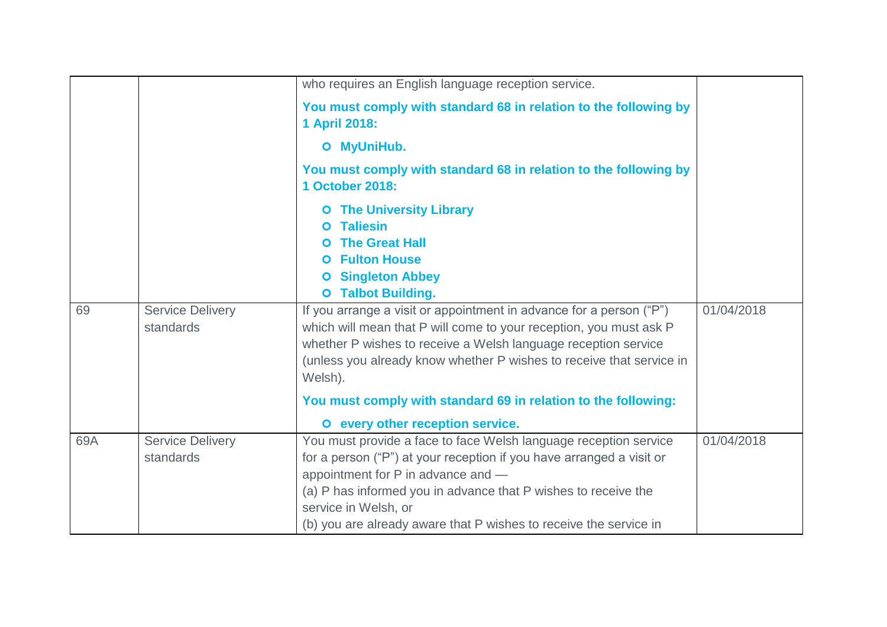|     |                                      | who requires an English language reception service.                                                                                                                                                                                                                                            |            |
|-----|--------------------------------------|------------------------------------------------------------------------------------------------------------------------------------------------------------------------------------------------------------------------------------------------------------------------------------------------|------------|
|     |                                      | You must comply with standard 68 in relation to the following by<br>1 April 2018:                                                                                                                                                                                                              |            |
|     |                                      | O MyUniHub.                                                                                                                                                                                                                                                                                    |            |
|     |                                      | You must comply with standard 68 in relation to the following by<br>1 October 2018:                                                                                                                                                                                                            |            |
|     |                                      | <b>O</b> The University Library                                                                                                                                                                                                                                                                |            |
|     |                                      | <b>Taliesin</b><br>$\bullet$                                                                                                                                                                                                                                                                   |            |
|     |                                      | <b>The Great Hall</b><br><b>O</b> Fulton House                                                                                                                                                                                                                                                 |            |
|     |                                      | <b>O</b> Singleton Abbey                                                                                                                                                                                                                                                                       |            |
|     |                                      | <b>O</b> Talbot Building.                                                                                                                                                                                                                                                                      |            |
| 69  | <b>Service Delivery</b><br>standards | If you arrange a visit or appointment in advance for a person ("P")<br>which will mean that P will come to your reception, you must ask P<br>whether P wishes to receive a Welsh language reception service<br>(unless you already know whether P wishes to receive that service in<br>Welsh). | 01/04/2018 |
|     |                                      | You must comply with standard 69 in relation to the following:<br>O every other reception service.                                                                                                                                                                                             |            |
| 69A | <b>Service Delivery</b>              | You must provide a face to face Welsh language reception service                                                                                                                                                                                                                               | 01/04/2018 |
|     | standards                            | for a person ("P") at your reception if you have arranged a visit or                                                                                                                                                                                                                           |            |
|     |                                      | appointment for P in advance and -                                                                                                                                                                                                                                                             |            |
|     |                                      | (a) P has informed you in advance that P wishes to receive the                                                                                                                                                                                                                                 |            |
|     |                                      | service in Welsh, or                                                                                                                                                                                                                                                                           |            |
|     |                                      | (b) you are already aware that P wishes to receive the service in                                                                                                                                                                                                                              |            |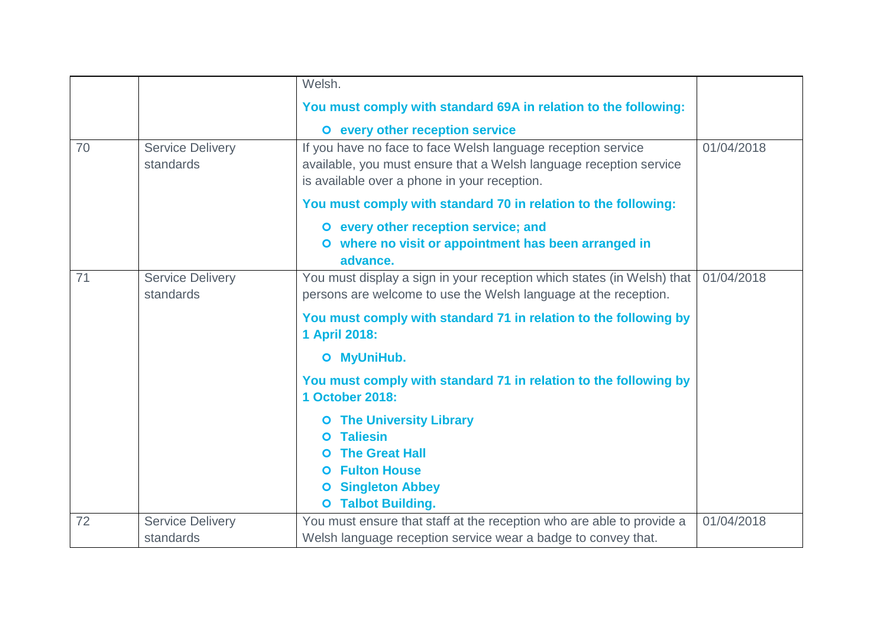|    |                                      | Welsh.                                                                                                                                                                             |            |
|----|--------------------------------------|------------------------------------------------------------------------------------------------------------------------------------------------------------------------------------|------------|
|    |                                      | You must comply with standard 69A in relation to the following:                                                                                                                    |            |
|    |                                      | O every other reception service                                                                                                                                                    |            |
| 70 | <b>Service Delivery</b><br>standards | If you have no face to face Welsh language reception service<br>available, you must ensure that a Welsh language reception service<br>is available over a phone in your reception. | 01/04/2018 |
|    |                                      | You must comply with standard 70 in relation to the following:                                                                                                                     |            |
|    |                                      | O every other reception service; and<br>O where no visit or appointment has been arranged in<br>advance.                                                                           |            |
| 71 | <b>Service Delivery</b><br>standards | You must display a sign in your reception which states (in Welsh) that<br>persons are welcome to use the Welsh language at the reception.                                          | 01/04/2018 |
|    |                                      | You must comply with standard 71 in relation to the following by<br>1 April 2018:                                                                                                  |            |
|    |                                      | O MyUniHub.                                                                                                                                                                        |            |
|    |                                      | You must comply with standard 71 in relation to the following by<br>1 October 2018:                                                                                                |            |
|    |                                      | <b>The University Library</b><br>O<br><b>Taliesin</b><br><b>The Great Hall</b><br><b>O</b> Fulton House<br><b>Singleton Abbey</b><br>$\bullet$<br><b>O</b> Talbot Building.        |            |
| 72 | <b>Service Delivery</b><br>standards | You must ensure that staff at the reception who are able to provide a<br>Welsh language reception service wear a badge to convey that.                                             | 01/04/2018 |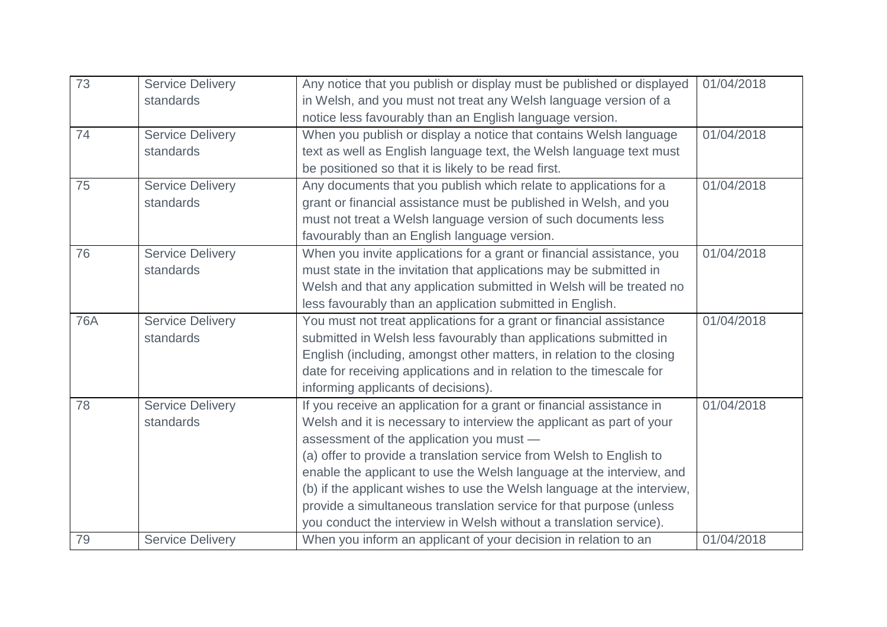| 73         | <b>Service Delivery</b> | Any notice that you publish or display must be published or displayed   | 01/04/2018 |
|------------|-------------------------|-------------------------------------------------------------------------|------------|
|            |                         |                                                                         |            |
|            | standards               | in Welsh, and you must not treat any Welsh language version of a        |            |
|            |                         | notice less favourably than an English language version.                |            |
| 74         | <b>Service Delivery</b> | When you publish or display a notice that contains Welsh language       | 01/04/2018 |
|            | standards               | text as well as English language text, the Welsh language text must     |            |
|            |                         | be positioned so that it is likely to be read first.                    |            |
| 75         | <b>Service Delivery</b> | Any documents that you publish which relate to applications for a       | 01/04/2018 |
|            | standards               | grant or financial assistance must be published in Welsh, and you       |            |
|            |                         | must not treat a Welsh language version of such documents less          |            |
|            |                         | favourably than an English language version.                            |            |
| 76         | <b>Service Delivery</b> | When you invite applications for a grant or financial assistance, you   | 01/04/2018 |
|            | standards               | must state in the invitation that applications may be submitted in      |            |
|            |                         | Welsh and that any application submitted in Welsh will be treated no    |            |
|            |                         | less favourably than an application submitted in English.               |            |
| <b>76A</b> | <b>Service Delivery</b> | You must not treat applications for a grant or financial assistance     | 01/04/2018 |
|            | standards               | submitted in Welsh less favourably than applications submitted in       |            |
|            |                         | English (including, amongst other matters, in relation to the closing   |            |
|            |                         | date for receiving applications and in relation to the timescale for    |            |
|            |                         | informing applicants of decisions).                                     |            |
| 78         | <b>Service Delivery</b> | If you receive an application for a grant or financial assistance in    | 01/04/2018 |
|            | standards               | Welsh and it is necessary to interview the applicant as part of your    |            |
|            |                         | assessment of the application you must -                                |            |
|            |                         | (a) offer to provide a translation service from Welsh to English to     |            |
|            |                         | enable the applicant to use the Welsh language at the interview, and    |            |
|            |                         | (b) if the applicant wishes to use the Welsh language at the interview, |            |
|            |                         | provide a simultaneous translation service for that purpose (unless     |            |
|            |                         | you conduct the interview in Welsh without a translation service).      |            |
| 79         | <b>Service Delivery</b> | When you inform an applicant of your decision in relation to an         | 01/04/2018 |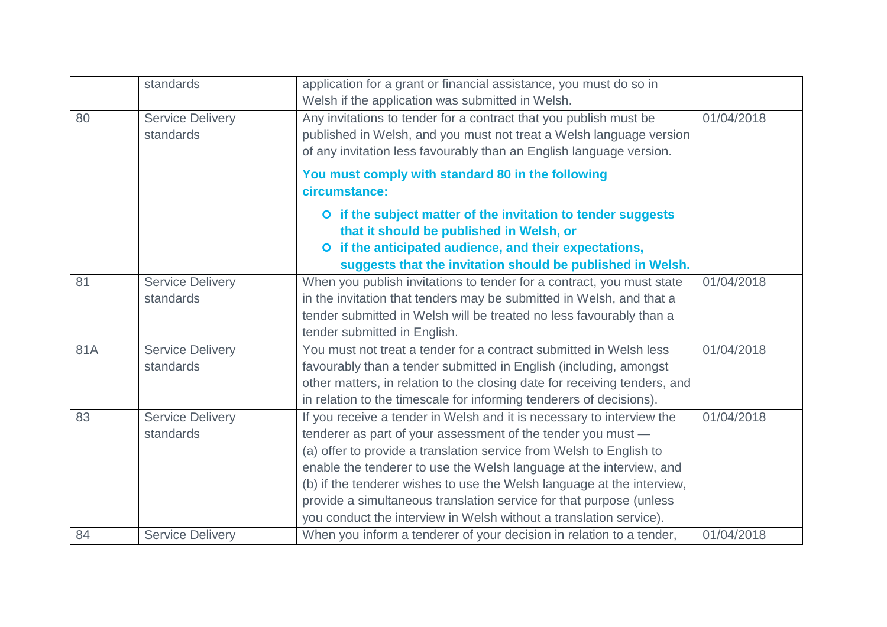|     | standards                            | application for a grant or financial assistance, you must do so in<br>Welsh if the application was submitted in Welsh.                                                                                                                                                                                                                                                                                                                                                                                     |            |
|-----|--------------------------------------|------------------------------------------------------------------------------------------------------------------------------------------------------------------------------------------------------------------------------------------------------------------------------------------------------------------------------------------------------------------------------------------------------------------------------------------------------------------------------------------------------------|------------|
| 80  | <b>Service Delivery</b><br>standards | Any invitations to tender for a contract that you publish must be<br>published in Welsh, and you must not treat a Welsh language version<br>of any invitation less favourably than an English language version.                                                                                                                                                                                                                                                                                            | 01/04/2018 |
|     |                                      | You must comply with standard 80 in the following<br>circumstance:                                                                                                                                                                                                                                                                                                                                                                                                                                         |            |
|     |                                      | O if the subject matter of the invitation to tender suggests<br>that it should be published in Welsh, or<br>if the anticipated audience, and their expectations,<br>$\bullet$<br>suggests that the invitation should be published in Welsh.                                                                                                                                                                                                                                                                |            |
| 81  | <b>Service Delivery</b><br>standards | When you publish invitations to tender for a contract, you must state<br>in the invitation that tenders may be submitted in Welsh, and that a<br>tender submitted in Welsh will be treated no less favourably than a<br>tender submitted in English.                                                                                                                                                                                                                                                       | 01/04/2018 |
| 81A | <b>Service Delivery</b><br>standards | You must not treat a tender for a contract submitted in Welsh less<br>favourably than a tender submitted in English (including, amongst<br>other matters, in relation to the closing date for receiving tenders, and<br>in relation to the timescale for informing tenderers of decisions).                                                                                                                                                                                                                | 01/04/2018 |
| 83  | <b>Service Delivery</b><br>standards | If you receive a tender in Welsh and it is necessary to interview the<br>tenderer as part of your assessment of the tender you must -<br>(a) offer to provide a translation service from Welsh to English to<br>enable the tenderer to use the Welsh language at the interview, and<br>(b) if the tenderer wishes to use the Welsh language at the interview,<br>provide a simultaneous translation service for that purpose (unless<br>you conduct the interview in Welsh without a translation service). | 01/04/2018 |
| 84  | <b>Service Delivery</b>              | When you inform a tenderer of your decision in relation to a tender,                                                                                                                                                                                                                                                                                                                                                                                                                                       | 01/04/2018 |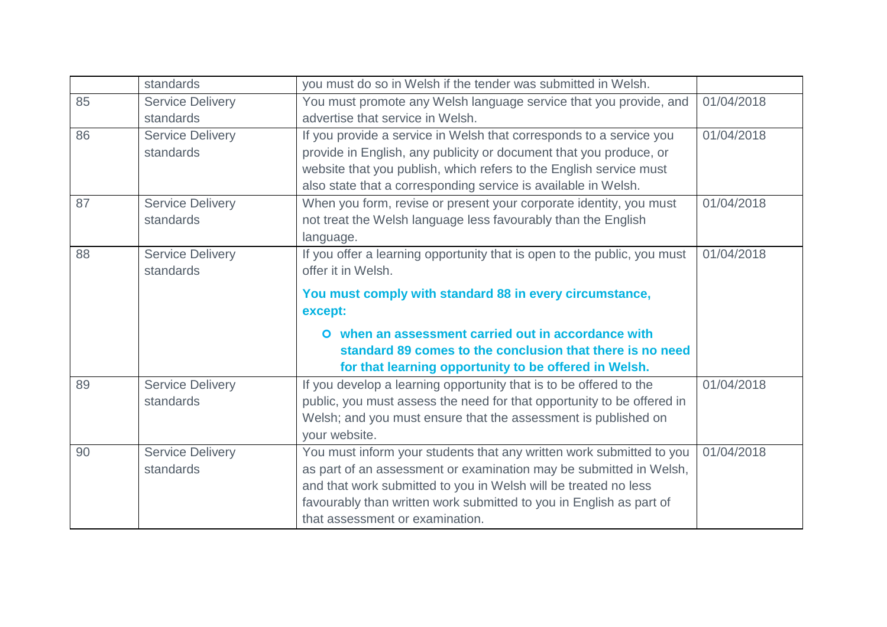|    | standards               | you must do so in Welsh if the tender was submitted in Welsh.            |            |
|----|-------------------------|--------------------------------------------------------------------------|------------|
| 85 | <b>Service Delivery</b> | You must promote any Welsh language service that you provide, and        | 01/04/2018 |
|    | standards               | advertise that service in Welsh.                                         |            |
| 86 | <b>Service Delivery</b> | If you provide a service in Welsh that corresponds to a service you      | 01/04/2018 |
|    | standards               | provide in English, any publicity or document that you produce, or       |            |
|    |                         | website that you publish, which refers to the English service must       |            |
|    |                         | also state that a corresponding service is available in Welsh.           |            |
| 87 | <b>Service Delivery</b> | When you form, revise or present your corporate identity, you must       | 01/04/2018 |
|    | standards               | not treat the Welsh language less favourably than the English            |            |
|    |                         | language.                                                                |            |
| 88 | <b>Service Delivery</b> | If you offer a learning opportunity that is open to the public, you must | 01/04/2018 |
|    | standards               | offer it in Welsh.                                                       |            |
|    |                         | You must comply with standard 88 in every circumstance,                  |            |
|    |                         | except:                                                                  |            |
|    |                         | O when an assessment carried out in accordance with                      |            |
|    |                         | standard 89 comes to the conclusion that there is no need                |            |
|    |                         | for that learning opportunity to be offered in Welsh.                    |            |
| 89 | <b>Service Delivery</b> | If you develop a learning opportunity that is to be offered to the       | 01/04/2018 |
|    | standards               | public, you must assess the need for that opportunity to be offered in   |            |
|    |                         | Welsh; and you must ensure that the assessment is published on           |            |
|    |                         | your website.                                                            |            |
| 90 | <b>Service Delivery</b> | You must inform your students that any written work submitted to you     | 01/04/2018 |
|    | standards               | as part of an assessment or examination may be submitted in Welsh,       |            |
|    |                         | and that work submitted to you in Welsh will be treated no less          |            |
|    |                         | favourably than written work submitted to you in English as part of      |            |
|    |                         | that assessment or examination.                                          |            |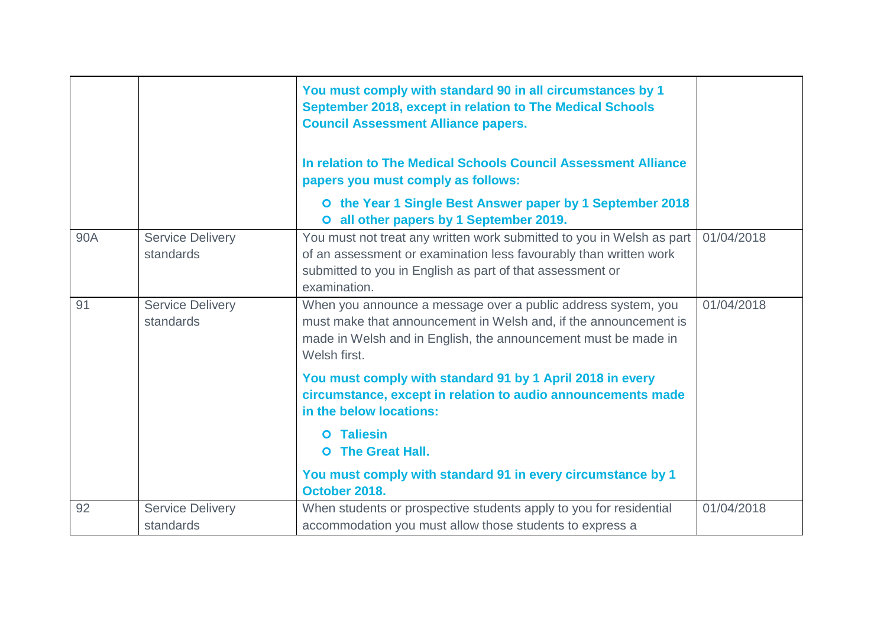|     |                                      | You must comply with standard 90 in all circumstances by 1<br>September 2018, except in relation to The Medical Schools<br><b>Council Assessment Alliance papers.</b><br>In relation to The Medical Schools Council Assessment Alliance |            |
|-----|--------------------------------------|-----------------------------------------------------------------------------------------------------------------------------------------------------------------------------------------------------------------------------------------|------------|
|     |                                      | papers you must comply as follows:                                                                                                                                                                                                      |            |
|     |                                      | O the Year 1 Single Best Answer paper by 1 September 2018<br>O all other papers by 1 September 2019.                                                                                                                                    |            |
| 90A | <b>Service Delivery</b><br>standards | You must not treat any written work submitted to you in Welsh as part<br>of an assessment or examination less favourably than written work<br>submitted to you in English as part of that assessment or<br>examination.                 | 01/04/2018 |
| 91  | <b>Service Delivery</b><br>standards | When you announce a message over a public address system, you<br>must make that announcement in Welsh and, if the announcement is<br>made in Welsh and in English, the announcement must be made in<br>Welsh first.                     | 01/04/2018 |
|     |                                      | You must comply with standard 91 by 1 April 2018 in every<br>circumstance, except in relation to audio announcements made<br>in the below locations:                                                                                    |            |
|     |                                      | <b>O</b> Taliesin<br><b>O</b> The Great Hall.                                                                                                                                                                                           |            |
|     |                                      | You must comply with standard 91 in every circumstance by 1<br>October 2018.                                                                                                                                                            |            |
| 92  | <b>Service Delivery</b><br>standards | When students or prospective students apply to you for residential<br>accommodation you must allow those students to express a                                                                                                          | 01/04/2018 |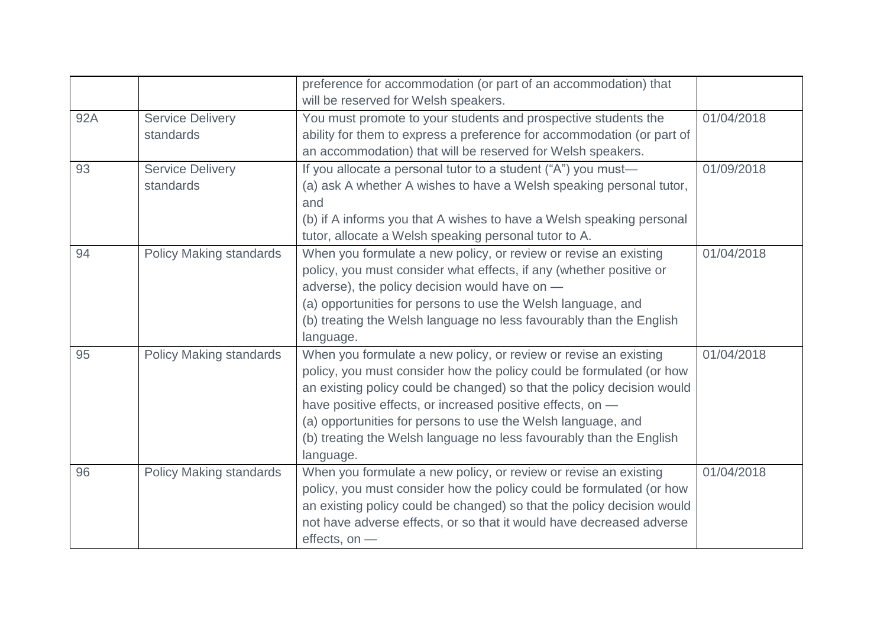|     |                                      | preference for accommodation (or part of an accommodation) that<br>will be reserved for Welsh speakers.                                                                                                                                                                                                                                                                                                                              |            |
|-----|--------------------------------------|--------------------------------------------------------------------------------------------------------------------------------------------------------------------------------------------------------------------------------------------------------------------------------------------------------------------------------------------------------------------------------------------------------------------------------------|------------|
| 92A | <b>Service Delivery</b><br>standards | You must promote to your students and prospective students the<br>ability for them to express a preference for accommodation (or part of<br>an accommodation) that will be reserved for Welsh speakers.                                                                                                                                                                                                                              | 01/04/2018 |
| 93  | <b>Service Delivery</b><br>standards | If you allocate a personal tutor to a student ("A") you must-<br>(a) ask A whether A wishes to have a Welsh speaking personal tutor,<br>and<br>(b) if A informs you that A wishes to have a Welsh speaking personal<br>tutor, allocate a Welsh speaking personal tutor to A.                                                                                                                                                         | 01/09/2018 |
| 94  | <b>Policy Making standards</b>       | When you formulate a new policy, or review or revise an existing<br>policy, you must consider what effects, if any (whether positive or<br>adverse), the policy decision would have on -<br>(a) opportunities for persons to use the Welsh language, and<br>(b) treating the Welsh language no less favourably than the English<br>language.                                                                                         | 01/04/2018 |
| 95  | <b>Policy Making standards</b>       | When you formulate a new policy, or review or revise an existing<br>policy, you must consider how the policy could be formulated (or how<br>an existing policy could be changed) so that the policy decision would<br>have positive effects, or increased positive effects, on -<br>(a) opportunities for persons to use the Welsh language, and<br>(b) treating the Welsh language no less favourably than the English<br>language. | 01/04/2018 |
| 96  | <b>Policy Making standards</b>       | When you formulate a new policy, or review or revise an existing<br>policy, you must consider how the policy could be formulated (or how<br>an existing policy could be changed) so that the policy decision would<br>not have adverse effects, or so that it would have decreased adverse<br>effects, on -                                                                                                                          | 01/04/2018 |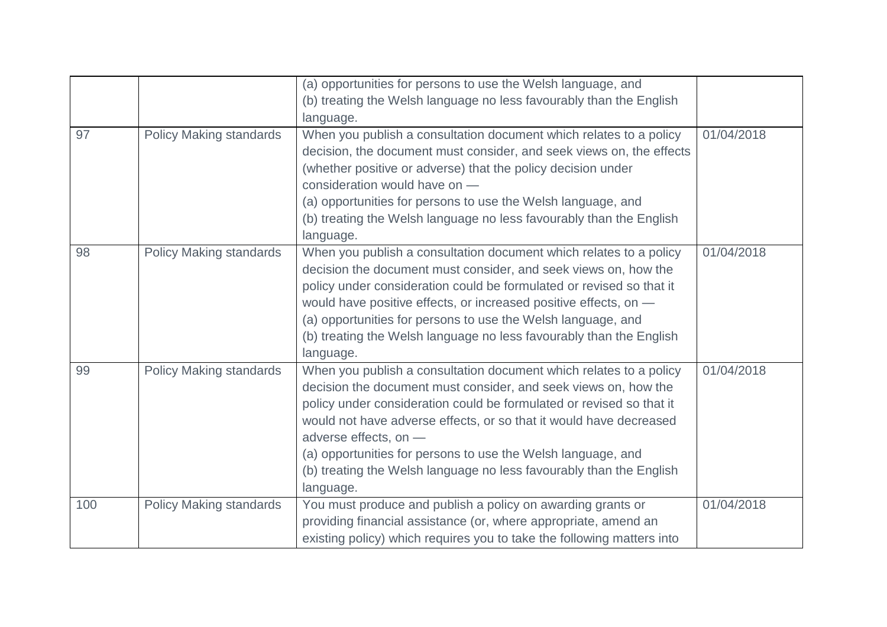|     |                                | (a) opportunities for persons to use the Welsh language, and<br>(b) treating the Welsh language no less favourably than the English        |            |
|-----|--------------------------------|--------------------------------------------------------------------------------------------------------------------------------------------|------------|
|     |                                | language.                                                                                                                                  |            |
| 97  | <b>Policy Making standards</b> | When you publish a consultation document which relates to a policy<br>decision, the document must consider, and seek views on, the effects | 01/04/2018 |
|     |                                | (whether positive or adverse) that the policy decision under<br>consideration would have on -                                              |            |
|     |                                |                                                                                                                                            |            |
|     |                                | (a) opportunities for persons to use the Welsh language, and                                                                               |            |
|     |                                | (b) treating the Welsh language no less favourably than the English<br>language.                                                           |            |
| 98  | <b>Policy Making standards</b> | When you publish a consultation document which relates to a policy<br>decision the document must consider, and seek views on, how the      | 01/04/2018 |
|     |                                | policy under consideration could be formulated or revised so that it                                                                       |            |
|     |                                | would have positive effects, or increased positive effects, on -                                                                           |            |
|     |                                | (a) opportunities for persons to use the Welsh language, and                                                                               |            |
|     |                                | (b) treating the Welsh language no less favourably than the English                                                                        |            |
|     |                                | language.                                                                                                                                  |            |
| 99  | <b>Policy Making standards</b> | When you publish a consultation document which relates to a policy<br>decision the document must consider, and seek views on, how the      | 01/04/2018 |
|     |                                | policy under consideration could be formulated or revised so that it                                                                       |            |
|     |                                | would not have adverse effects, or so that it would have decreased                                                                         |            |
|     |                                | adverse effects, on -                                                                                                                      |            |
|     |                                | (a) opportunities for persons to use the Welsh language, and                                                                               |            |
|     |                                | (b) treating the Welsh language no less favourably than the English                                                                        |            |
|     |                                | language.                                                                                                                                  |            |
| 100 | <b>Policy Making standards</b> | You must produce and publish a policy on awarding grants or                                                                                | 01/04/2018 |
|     |                                | providing financial assistance (or, where appropriate, amend an                                                                            |            |
|     |                                | existing policy) which requires you to take the following matters into                                                                     |            |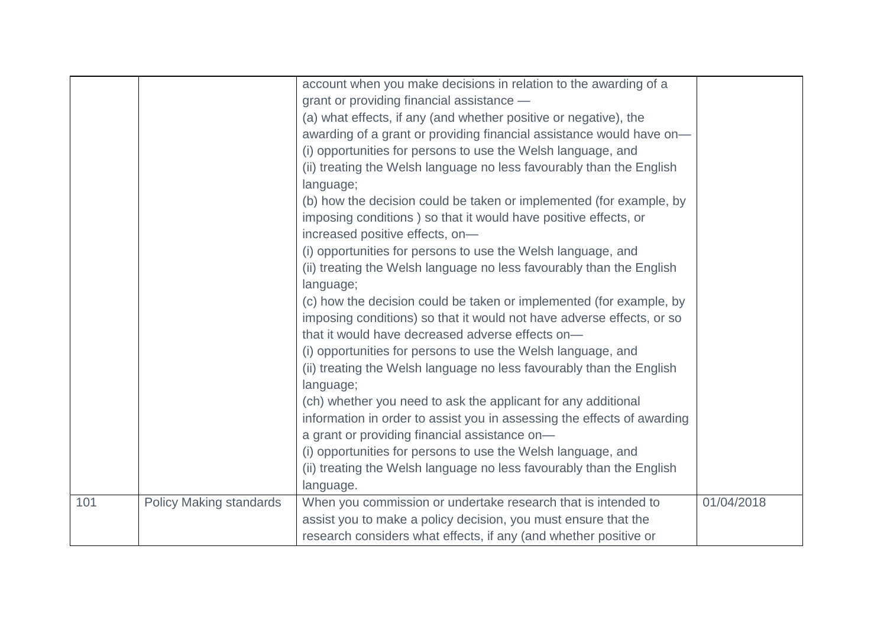|     |                                | account when you make decisions in relation to the awarding of a<br>grant or providing financial assistance -<br>(a) what effects, if any (and whether positive or negative), the<br>awarding of a grant or providing financial assistance would have on-<br>(i) opportunities for persons to use the Welsh language, and<br>(ii) treating the Welsh language no less favourably than the English<br>language;<br>(b) how the decision could be taken or implemented (for example, by<br>imposing conditions) so that it would have positive effects, or<br>increased positive effects, on-<br>(i) opportunities for persons to use the Welsh language, and<br>(ii) treating the Welsh language no less favourably than the English<br>language;<br>(c) how the decision could be taken or implemented (for example, by<br>imposing conditions) so that it would not have adverse effects, or so<br>that it would have decreased adverse effects on-<br>(i) opportunities for persons to use the Welsh language, and<br>(ii) treating the Welsh language no less favourably than the English<br>language;<br>(ch) whether you need to ask the applicant for any additional<br>information in order to assist you in assessing the effects of awarding<br>a grant or providing financial assistance on-<br>(i) opportunities for persons to use the Welsh language, and<br>(ii) treating the Welsh language no less favourably than the English<br>language. |            |
|-----|--------------------------------|-------------------------------------------------------------------------------------------------------------------------------------------------------------------------------------------------------------------------------------------------------------------------------------------------------------------------------------------------------------------------------------------------------------------------------------------------------------------------------------------------------------------------------------------------------------------------------------------------------------------------------------------------------------------------------------------------------------------------------------------------------------------------------------------------------------------------------------------------------------------------------------------------------------------------------------------------------------------------------------------------------------------------------------------------------------------------------------------------------------------------------------------------------------------------------------------------------------------------------------------------------------------------------------------------------------------------------------------------------------------------------------------------------------------------------------------------------------|------------|
| 101 | <b>Policy Making standards</b> | When you commission or undertake research that is intended to<br>assist you to make a policy decision, you must ensure that the<br>research considers what effects, if any (and whether positive or                                                                                                                                                                                                                                                                                                                                                                                                                                                                                                                                                                                                                                                                                                                                                                                                                                                                                                                                                                                                                                                                                                                                                                                                                                                         | 01/04/2018 |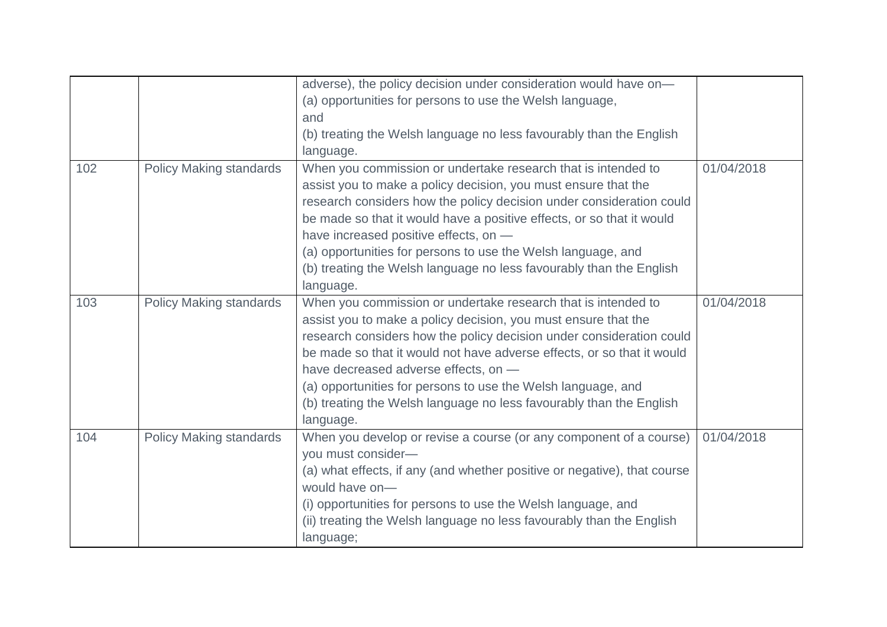|     |                                | adverse), the policy decision under consideration would have on-<br>(a) opportunities for persons to use the Welsh language, |            |
|-----|--------------------------------|------------------------------------------------------------------------------------------------------------------------------|------------|
|     |                                | and                                                                                                                          |            |
|     |                                | (b) treating the Welsh language no less favourably than the English                                                          |            |
|     |                                | language.                                                                                                                    |            |
| 102 | <b>Policy Making standards</b> | When you commission or undertake research that is intended to                                                                | 01/04/2018 |
|     |                                | assist you to make a policy decision, you must ensure that the                                                               |            |
|     |                                | research considers how the policy decision under consideration could                                                         |            |
|     |                                | be made so that it would have a positive effects, or so that it would                                                        |            |
|     |                                | have increased positive effects, on -                                                                                        |            |
|     |                                | (a) opportunities for persons to use the Welsh language, and                                                                 |            |
|     |                                | (b) treating the Welsh language no less favourably than the English                                                          |            |
|     |                                | language.                                                                                                                    |            |
| 103 | <b>Policy Making standards</b> | When you commission or undertake research that is intended to                                                                | 01/04/2018 |
|     |                                | assist you to make a policy decision, you must ensure that the                                                               |            |
|     |                                | research considers how the policy decision under consideration could                                                         |            |
|     |                                | be made so that it would not have adverse effects, or so that it would                                                       |            |
|     |                                | have decreased adverse effects, on -                                                                                         |            |
|     |                                | (a) opportunities for persons to use the Welsh language, and                                                                 |            |
|     |                                | (b) treating the Welsh language no less favourably than the English                                                          |            |
|     |                                | language.                                                                                                                    |            |
| 104 | <b>Policy Making standards</b> | When you develop or revise a course (or any component of a course)                                                           | 01/04/2018 |
|     |                                | you must consider-                                                                                                           |            |
|     |                                | (a) what effects, if any (and whether positive or negative), that course                                                     |            |
|     |                                | would have on-                                                                                                               |            |
|     |                                | (i) opportunities for persons to use the Welsh language, and                                                                 |            |
|     |                                | (ii) treating the Welsh language no less favourably than the English                                                         |            |
|     |                                | language;                                                                                                                    |            |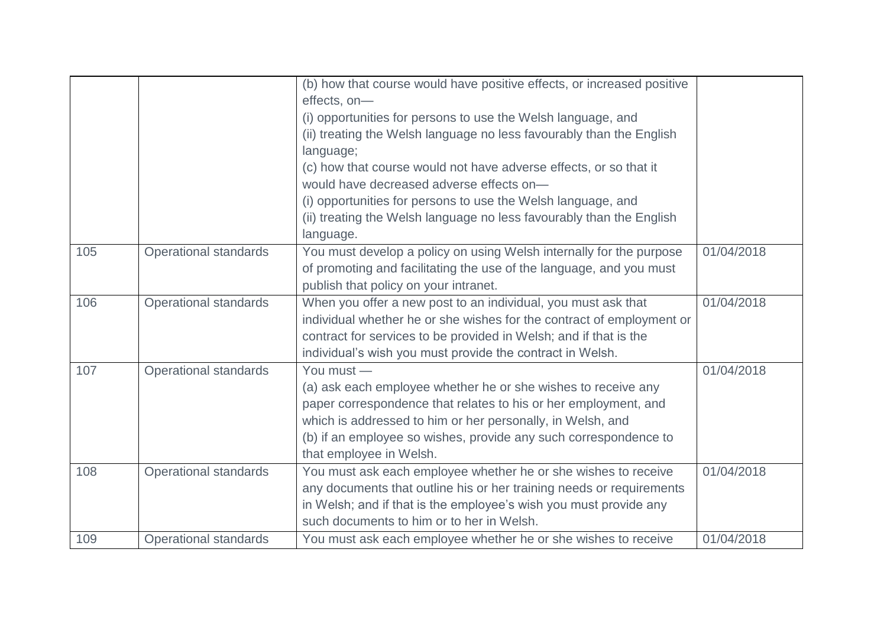|     |                              | (b) how that course would have positive effects, or increased positive<br>effects, on-<br>(i) opportunities for persons to use the Welsh language, and<br>(ii) treating the Welsh language no less favourably than the English<br>language;<br>(c) how that course would not have adverse effects, or so that it<br>would have decreased adverse effects on-<br>(i) opportunities for persons to use the Welsh language, and<br>(ii) treating the Welsh language no less favourably than the English |            |
|-----|------------------------------|------------------------------------------------------------------------------------------------------------------------------------------------------------------------------------------------------------------------------------------------------------------------------------------------------------------------------------------------------------------------------------------------------------------------------------------------------------------------------------------------------|------------|
|     |                              | language.                                                                                                                                                                                                                                                                                                                                                                                                                                                                                            |            |
| 105 | <b>Operational standards</b> | You must develop a policy on using Welsh internally for the purpose<br>of promoting and facilitating the use of the language, and you must<br>publish that policy on your intranet.                                                                                                                                                                                                                                                                                                                  | 01/04/2018 |
| 106 | <b>Operational standards</b> | When you offer a new post to an individual, you must ask that<br>individual whether he or she wishes for the contract of employment or<br>contract for services to be provided in Welsh; and if that is the<br>individual's wish you must provide the contract in Welsh.                                                                                                                                                                                                                             | 01/04/2018 |
| 107 | <b>Operational standards</b> | You must -<br>(a) ask each employee whether he or she wishes to receive any<br>paper correspondence that relates to his or her employment, and<br>which is addressed to him or her personally, in Welsh, and<br>(b) if an employee so wishes, provide any such correspondence to<br>that employee in Welsh.                                                                                                                                                                                          | 01/04/2018 |
| 108 | <b>Operational standards</b> | You must ask each employee whether he or she wishes to receive<br>any documents that outline his or her training needs or requirements<br>in Welsh; and if that is the employee's wish you must provide any<br>such documents to him or to her in Welsh.                                                                                                                                                                                                                                             | 01/04/2018 |
| 109 | <b>Operational standards</b> | You must ask each employee whether he or she wishes to receive                                                                                                                                                                                                                                                                                                                                                                                                                                       | 01/04/2018 |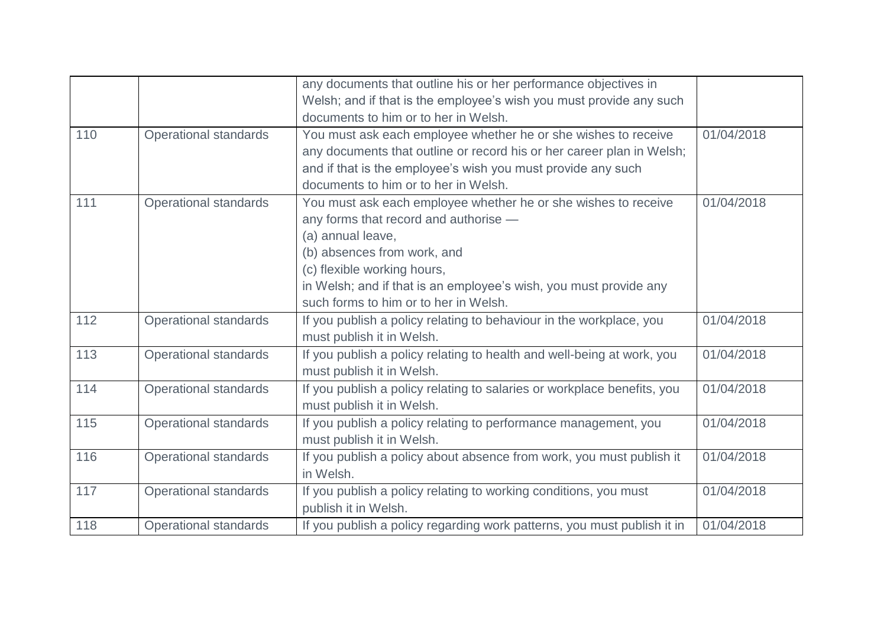|     |                              | any documents that outline his or her performance objectives in                                                                                                                                                                                                                                          |            |
|-----|------------------------------|----------------------------------------------------------------------------------------------------------------------------------------------------------------------------------------------------------------------------------------------------------------------------------------------------------|------------|
|     |                              | Welsh; and if that is the employee's wish you must provide any such                                                                                                                                                                                                                                      |            |
|     |                              | documents to him or to her in Welsh.                                                                                                                                                                                                                                                                     |            |
| 110 | <b>Operational standards</b> | You must ask each employee whether he or she wishes to receive<br>any documents that outline or record his or her career plan in Welsh;<br>and if that is the employee's wish you must provide any such<br>documents to him or to her in Welsh.                                                          | 01/04/2018 |
| 111 | <b>Operational standards</b> | You must ask each employee whether he or she wishes to receive<br>any forms that record and authorise -<br>(a) annual leave,<br>(b) absences from work, and<br>(c) flexible working hours,<br>in Welsh; and if that is an employee's wish, you must provide any<br>such forms to him or to her in Welsh. | 01/04/2018 |
| 112 | <b>Operational standards</b> | If you publish a policy relating to behaviour in the workplace, you<br>must publish it in Welsh.                                                                                                                                                                                                         | 01/04/2018 |
| 113 | <b>Operational standards</b> | If you publish a policy relating to health and well-being at work, you<br>must publish it in Welsh.                                                                                                                                                                                                      | 01/04/2018 |
| 114 | <b>Operational standards</b> | If you publish a policy relating to salaries or workplace benefits, you<br>must publish it in Welsh.                                                                                                                                                                                                     | 01/04/2018 |
| 115 | <b>Operational standards</b> | If you publish a policy relating to performance management, you<br>must publish it in Welsh.                                                                                                                                                                                                             | 01/04/2018 |
| 116 | <b>Operational standards</b> | If you publish a policy about absence from work, you must publish it<br>in Welsh.                                                                                                                                                                                                                        | 01/04/2018 |
| 117 | <b>Operational standards</b> | If you publish a policy relating to working conditions, you must<br>publish it in Welsh.                                                                                                                                                                                                                 | 01/04/2018 |
| 118 | <b>Operational standards</b> | If you publish a policy regarding work patterns, you must publish it in                                                                                                                                                                                                                                  | 01/04/2018 |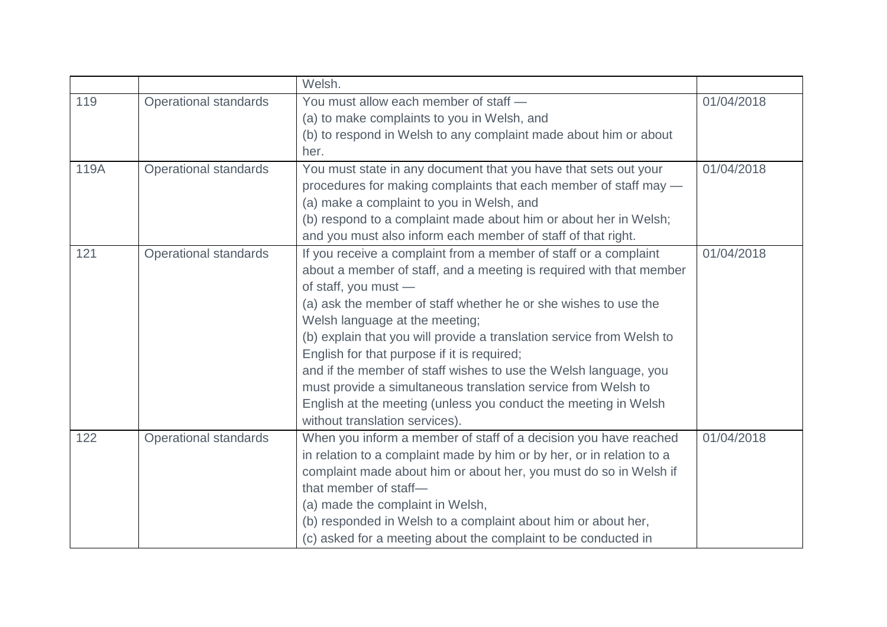|      |                              | Welsh.                                                                |            |
|------|------------------------------|-----------------------------------------------------------------------|------------|
| 119  | <b>Operational standards</b> | You must allow each member of staff -                                 | 01/04/2018 |
|      |                              | (a) to make complaints to you in Welsh, and                           |            |
|      |                              | (b) to respond in Welsh to any complaint made about him or about      |            |
|      |                              | her.                                                                  |            |
| 119A | <b>Operational standards</b> | You must state in any document that you have that sets out your       | 01/04/2018 |
|      |                              | procedures for making complaints that each member of staff may -      |            |
|      |                              | (a) make a complaint to you in Welsh, and                             |            |
|      |                              | (b) respond to a complaint made about him or about her in Welsh;      |            |
|      |                              | and you must also inform each member of staff of that right.          |            |
| 121  | <b>Operational standards</b> | If you receive a complaint from a member of staff or a complaint      | 01/04/2018 |
|      |                              | about a member of staff, and a meeting is required with that member   |            |
|      |                              | of staff, you must -                                                  |            |
|      |                              | (a) ask the member of staff whether he or she wishes to use the       |            |
|      |                              | Welsh language at the meeting;                                        |            |
|      |                              | (b) explain that you will provide a translation service from Welsh to |            |
|      |                              | English for that purpose if it is required;                           |            |
|      |                              | and if the member of staff wishes to use the Welsh language, you      |            |
|      |                              | must provide a simultaneous translation service from Welsh to         |            |
|      |                              | English at the meeting (unless you conduct the meeting in Welsh       |            |
|      |                              | without translation services).                                        |            |
| 122  | <b>Operational standards</b> | When you inform a member of staff of a decision you have reached      | 01/04/2018 |
|      |                              | in relation to a complaint made by him or by her, or in relation to a |            |
|      |                              | complaint made about him or about her, you must do so in Welsh if     |            |
|      |                              | that member of staff-                                                 |            |
|      |                              | (a) made the complaint in Welsh,                                      |            |
|      |                              | (b) responded in Welsh to a complaint about him or about her,         |            |
|      |                              | (c) asked for a meeting about the complaint to be conducted in        |            |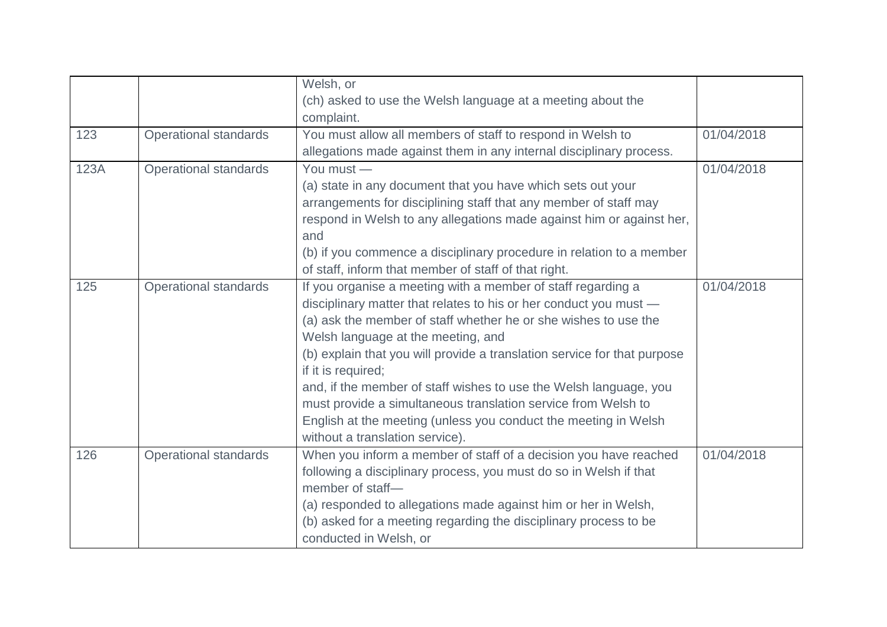|      |                              | Welsh, or                                                                |            |
|------|------------------------------|--------------------------------------------------------------------------|------------|
|      |                              | (ch) asked to use the Welsh language at a meeting about the              |            |
|      |                              | complaint.                                                               |            |
| 123  | <b>Operational standards</b> | You must allow all members of staff to respond in Welsh to               | 01/04/2018 |
|      |                              | allegations made against them in any internal disciplinary process.      |            |
| 123A | <b>Operational standards</b> | You must -                                                               | 01/04/2018 |
|      |                              | (a) state in any document that you have which sets out your              |            |
|      |                              | arrangements for disciplining staff that any member of staff may         |            |
|      |                              | respond in Welsh to any allegations made against him or against her,     |            |
|      |                              | and                                                                      |            |
|      |                              | (b) if you commence a disciplinary procedure in relation to a member     |            |
|      |                              | of staff, inform that member of staff of that right.                     |            |
| 125  | <b>Operational standards</b> | If you organise a meeting with a member of staff regarding a             | 01/04/2018 |
|      |                              | disciplinary matter that relates to his or her conduct you must -        |            |
|      |                              | (a) ask the member of staff whether he or she wishes to use the          |            |
|      |                              | Welsh language at the meeting, and                                       |            |
|      |                              | (b) explain that you will provide a translation service for that purpose |            |
|      |                              | if it is required;                                                       |            |
|      |                              | and, if the member of staff wishes to use the Welsh language, you        |            |
|      |                              | must provide a simultaneous translation service from Welsh to            |            |
|      |                              | English at the meeting (unless you conduct the meeting in Welsh          |            |
|      |                              | without a translation service).                                          |            |
| 126  | <b>Operational standards</b> | When you inform a member of staff of a decision you have reached         | 01/04/2018 |
|      |                              | following a disciplinary process, you must do so in Welsh if that        |            |
|      |                              | member of staff-                                                         |            |
|      |                              | (a) responded to allegations made against him or her in Welsh,           |            |
|      |                              | (b) asked for a meeting regarding the disciplinary process to be         |            |
|      |                              | conducted in Welsh, or                                                   |            |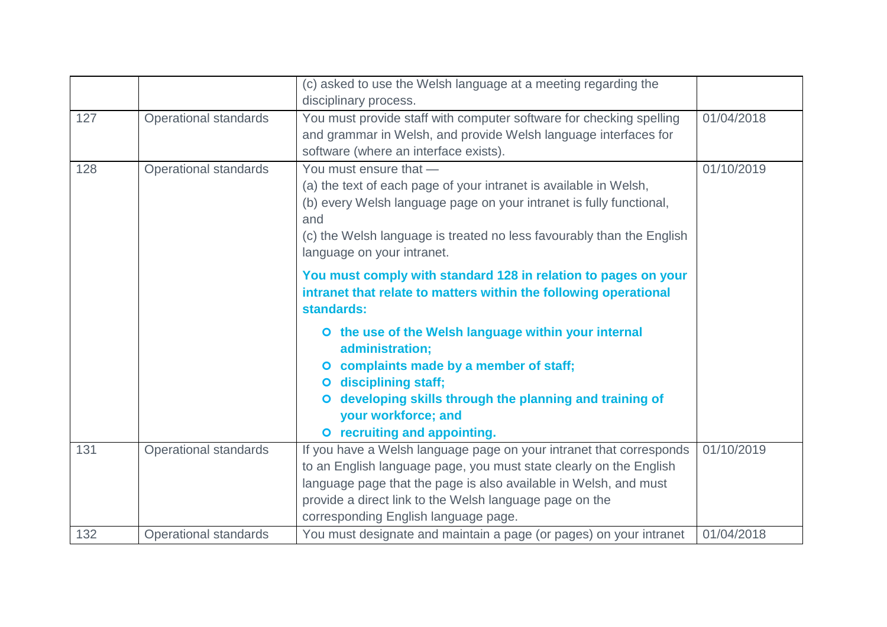|     |                              | (c) asked to use the Welsh language at a meeting regarding the<br>disciplinary process.                                                                                                                                                                                                                          |            |
|-----|------------------------------|------------------------------------------------------------------------------------------------------------------------------------------------------------------------------------------------------------------------------------------------------------------------------------------------------------------|------------|
| 127 | Operational standards        | You must provide staff with computer software for checking spelling<br>and grammar in Welsh, and provide Welsh language interfaces for<br>software (where an interface exists).                                                                                                                                  | 01/04/2018 |
| 128 | <b>Operational standards</b> | You must ensure that -<br>(a) the text of each page of your intranet is available in Welsh,<br>(b) every Welsh language page on your intranet is fully functional,<br>and<br>(c) the Welsh language is treated no less favourably than the English<br>language on your intranet.                                 | 01/10/2019 |
|     |                              | You must comply with standard 128 in relation to pages on your<br>intranet that relate to matters within the following operational<br>standards:                                                                                                                                                                 |            |
|     |                              | O the use of the Welsh language within your internal<br>administration;<br>O complaints made by a member of staff;<br>O disciplining staff;<br>developing skills through the planning and training of<br>$\bullet$<br>your workforce; and<br>O recruiting and appointing.                                        |            |
| 131 | <b>Operational standards</b> | If you have a Welsh language page on your intranet that corresponds<br>to an English language page, you must state clearly on the English<br>language page that the page is also available in Welsh, and must<br>provide a direct link to the Welsh language page on the<br>corresponding English language page. | 01/10/2019 |
| 132 | <b>Operational standards</b> | You must designate and maintain a page (or pages) on your intranet                                                                                                                                                                                                                                               | 01/04/2018 |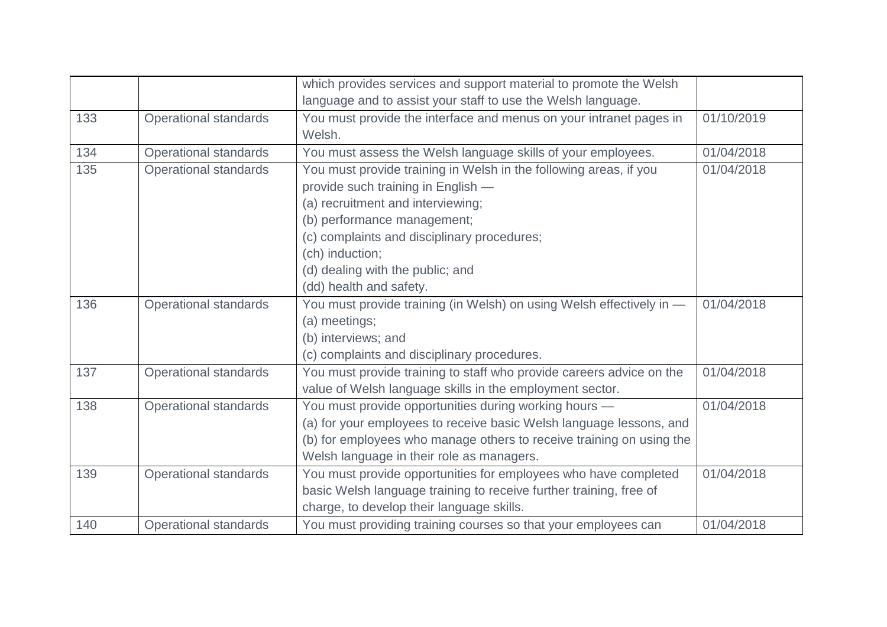|     |                              | which provides services and support material to promote the Welsh    |            |
|-----|------------------------------|----------------------------------------------------------------------|------------|
|     |                              | language and to assist your staff to use the Welsh language.         |            |
| 133 | <b>Operational standards</b> | You must provide the interface and menus on your intranet pages in   | 01/10/2019 |
|     |                              | Welsh.                                                               |            |
| 134 | <b>Operational standards</b> | You must assess the Welsh language skills of your employees.         | 01/04/2018 |
| 135 | <b>Operational standards</b> | You must provide training in Welsh in the following areas, if you    | 01/04/2018 |
|     |                              | provide such training in English -                                   |            |
|     |                              | (a) recruitment and interviewing;                                    |            |
|     |                              | (b) performance management;                                          |            |
|     |                              | (c) complaints and disciplinary procedures;                          |            |
|     |                              | (ch) induction;                                                      |            |
|     |                              | (d) dealing with the public; and                                     |            |
|     |                              | (dd) health and safety.                                              |            |
| 136 | <b>Operational standards</b> | You must provide training (in Welsh) on using Welsh effectively in - | 01/04/2018 |
|     |                              | (a) meetings;                                                        |            |
|     |                              | (b) interviews; and                                                  |            |
|     |                              | (c) complaints and disciplinary procedures.                          |            |
| 137 | <b>Operational standards</b> | You must provide training to staff who provide careers advice on the | 01/04/2018 |
|     |                              | value of Welsh language skills in the employment sector.             |            |
| 138 | <b>Operational standards</b> | You must provide opportunities during working hours -                | 01/04/2018 |
|     |                              | (a) for your employees to receive basic Welsh language lessons, and  |            |
|     |                              | (b) for employees who manage others to receive training on using the |            |
|     |                              | Welsh language in their role as managers.                            |            |
| 139 | <b>Operational standards</b> | You must provide opportunities for employees who have completed      | 01/04/2018 |
|     |                              | basic Welsh language training to receive further training, free of   |            |
|     |                              | charge, to develop their language skills.                            |            |
| 140 | <b>Operational standards</b> | You must providing training courses so that your employees can       | 01/04/2018 |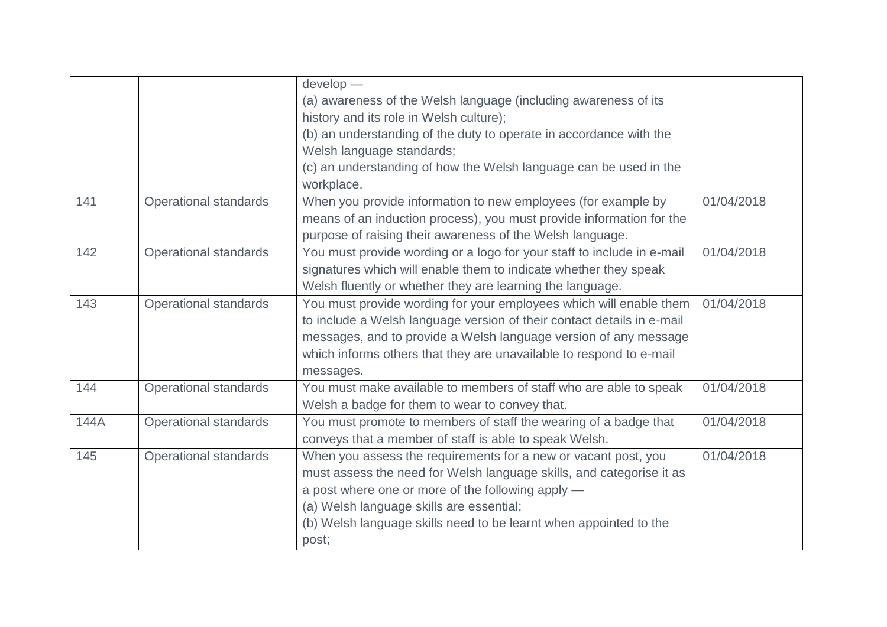|      |                              | develop -                                                              |            |
|------|------------------------------|------------------------------------------------------------------------|------------|
|      |                              | (a) awareness of the Welsh language (including awareness of its        |            |
|      |                              | history and its role in Welsh culture);                                |            |
|      |                              | (b) an understanding of the duty to operate in accordance with the     |            |
|      |                              | Welsh language standards;                                              |            |
|      |                              | (c) an understanding of how the Welsh language can be used in the      |            |
|      |                              | workplace.                                                             |            |
| 141  | <b>Operational standards</b> | When you provide information to new employees (for example by          | 01/04/2018 |
|      |                              | means of an induction process), you must provide information for the   |            |
|      |                              | purpose of raising their awareness of the Welsh language.              |            |
| 142  | <b>Operational standards</b> | You must provide wording or a logo for your staff to include in e-mail | 01/04/2018 |
|      |                              | signatures which will enable them to indicate whether they speak       |            |
|      |                              | Welsh fluently or whether they are learning the language.              |            |
| 143  | <b>Operational standards</b> | You must provide wording for your employees which will enable them     | 01/04/2018 |
|      |                              | to include a Welsh language version of their contact details in e-mail |            |
|      |                              | messages, and to provide a Welsh language version of any message       |            |
|      |                              | which informs others that they are unavailable to respond to e-mail    |            |
|      |                              | messages.                                                              |            |
| 144  | <b>Operational standards</b> | You must make available to members of staff who are able to speak      | 01/04/2018 |
|      |                              | Welsh a badge for them to wear to convey that.                         |            |
| 144A | <b>Operational standards</b> | You must promote to members of staff the wearing of a badge that       | 01/04/2018 |
|      |                              | conveys that a member of staff is able to speak Welsh.                 |            |
| 145  | <b>Operational standards</b> | When you assess the requirements for a new or vacant post, you         | 01/04/2018 |
|      |                              | must assess the need for Welsh language skills, and categorise it as   |            |
|      |                              | a post where one or more of the following apply —                      |            |
|      |                              | (a) Welsh language skills are essential;                               |            |
|      |                              | (b) Welsh language skills need to be learnt when appointed to the      |            |
|      |                              | post;                                                                  |            |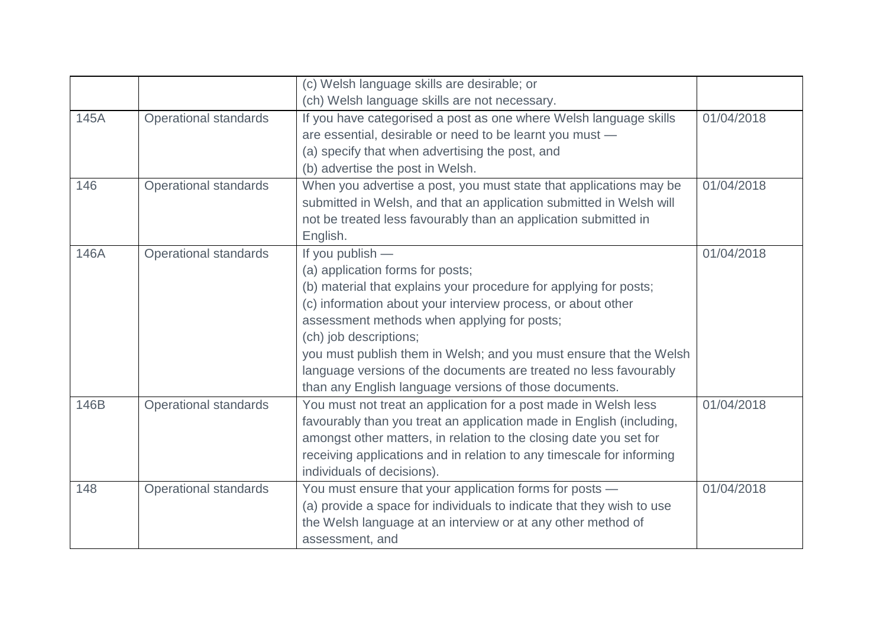|      |                              | (c) Welsh language skills are desirable; or                           |            |
|------|------------------------------|-----------------------------------------------------------------------|------------|
|      |                              | (ch) Welsh language skills are not necessary.                         |            |
| 145A | <b>Operational standards</b> | If you have categorised a post as one where Welsh language skills     | 01/04/2018 |
|      |                              | are essential, desirable or need to be learnt you must -              |            |
|      |                              | (a) specify that when advertising the post, and                       |            |
|      |                              | (b) advertise the post in Welsh.                                      |            |
| 146  | <b>Operational standards</b> | When you advertise a post, you must state that applications may be    | 01/04/2018 |
|      |                              | submitted in Welsh, and that an application submitted in Welsh will   |            |
|      |                              | not be treated less favourably than an application submitted in       |            |
|      |                              | English.                                                              |            |
| 146A | <b>Operational standards</b> | If you publish $-$                                                    | 01/04/2018 |
|      |                              | (a) application forms for posts;                                      |            |
|      |                              | (b) material that explains your procedure for applying for posts;     |            |
|      |                              | (c) information about your interview process, or about other          |            |
|      |                              | assessment methods when applying for posts;                           |            |
|      |                              | (ch) job descriptions;                                                |            |
|      |                              | you must publish them in Welsh; and you must ensure that the Welsh    |            |
|      |                              | language versions of the documents are treated no less favourably     |            |
|      |                              | than any English language versions of those documents.                |            |
| 146B | <b>Operational standards</b> | You must not treat an application for a post made in Welsh less       | 01/04/2018 |
|      |                              | favourably than you treat an application made in English (including,  |            |
|      |                              | amongst other matters, in relation to the closing date you set for    |            |
|      |                              | receiving applications and in relation to any timescale for informing |            |
|      |                              | individuals of decisions).                                            |            |
| 148  | <b>Operational standards</b> | You must ensure that your application forms for posts -               | 01/04/2018 |
|      |                              | (a) provide a space for individuals to indicate that they wish to use |            |
|      |                              | the Welsh language at an interview or at any other method of          |            |
|      |                              | assessment, and                                                       |            |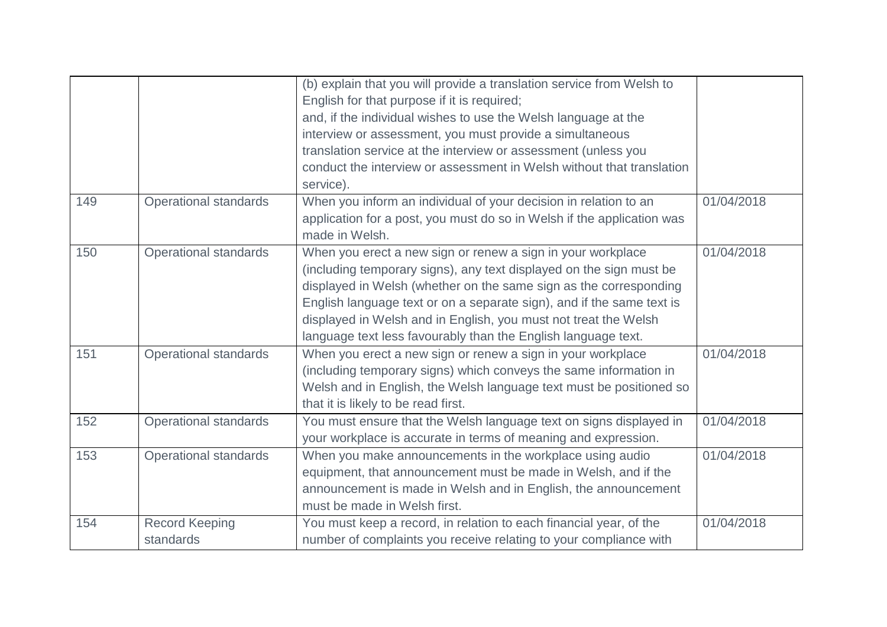|     |                              | (b) explain that you will provide a translation service from Welsh to  |            |
|-----|------------------------------|------------------------------------------------------------------------|------------|
|     |                              | English for that purpose if it is required;                            |            |
|     |                              | and, if the individual wishes to use the Welsh language at the         |            |
|     |                              | interview or assessment, you must provide a simultaneous               |            |
|     |                              | translation service at the interview or assessment (unless you         |            |
|     |                              | conduct the interview or assessment in Welsh without that translation  |            |
|     |                              | service).                                                              |            |
| 149 | <b>Operational standards</b> | When you inform an individual of your decision in relation to an       | 01/04/2018 |
|     |                              | application for a post, you must do so in Welsh if the application was |            |
|     |                              | made in Welsh.                                                         |            |
| 150 | <b>Operational standards</b> | When you erect a new sign or renew a sign in your workplace            | 01/04/2018 |
|     |                              | (including temporary signs), any text displayed on the sign must be    |            |
|     |                              | displayed in Welsh (whether on the same sign as the corresponding      |            |
|     |                              | English language text or on a separate sign), and if the same text is  |            |
|     |                              | displayed in Welsh and in English, you must not treat the Welsh        |            |
|     |                              | language text less favourably than the English language text.          |            |
| 151 | <b>Operational standards</b> | When you erect a new sign or renew a sign in your workplace            | 01/04/2018 |
|     |                              | (including temporary signs) which conveys the same information in      |            |
|     |                              | Welsh and in English, the Welsh language text must be positioned so    |            |
|     |                              | that it is likely to be read first.                                    |            |
| 152 | <b>Operational standards</b> | You must ensure that the Welsh language text on signs displayed in     | 01/04/2018 |
|     |                              | your workplace is accurate in terms of meaning and expression.         |            |
| 153 | <b>Operational standards</b> | When you make announcements in the workplace using audio               | 01/04/2018 |
|     |                              | equipment, that announcement must be made in Welsh, and if the         |            |
|     |                              | announcement is made in Welsh and in English, the announcement         |            |
|     |                              | must be made in Welsh first.                                           |            |
| 154 | <b>Record Keeping</b>        | You must keep a record, in relation to each financial year, of the     | 01/04/2018 |
|     | standards                    | number of complaints you receive relating to your compliance with      |            |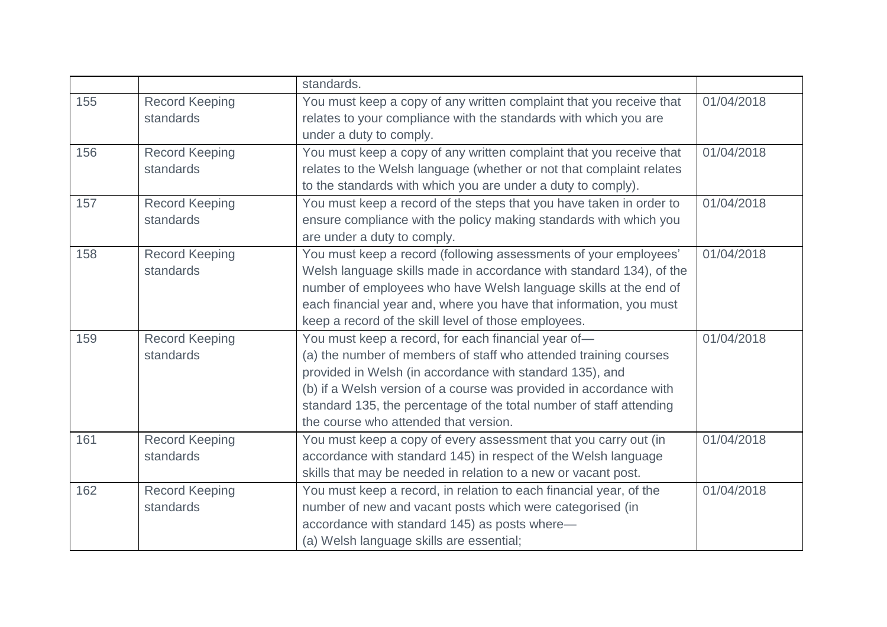|     |                       | standards.                                                           |            |
|-----|-----------------------|----------------------------------------------------------------------|------------|
| 155 | <b>Record Keeping</b> | You must keep a copy of any written complaint that you receive that  | 01/04/2018 |
|     | standards             | relates to your compliance with the standards with which you are     |            |
|     |                       | under a duty to comply.                                              |            |
| 156 | <b>Record Keeping</b> | You must keep a copy of any written complaint that you receive that  | 01/04/2018 |
|     | standards             | relates to the Welsh language (whether or not that complaint relates |            |
|     |                       | to the standards with which you are under a duty to comply).         |            |
| 157 | <b>Record Keeping</b> | You must keep a record of the steps that you have taken in order to  | 01/04/2018 |
|     | standards             | ensure compliance with the policy making standards with which you    |            |
|     |                       | are under a duty to comply.                                          |            |
| 158 | <b>Record Keeping</b> | You must keep a record (following assessments of your employees'     | 01/04/2018 |
|     | standards             | Welsh language skills made in accordance with standard 134), of the  |            |
|     |                       | number of employees who have Welsh language skills at the end of     |            |
|     |                       | each financial year and, where you have that information, you must   |            |
|     |                       | keep a record of the skill level of those employees.                 |            |
| 159 | <b>Record Keeping</b> | You must keep a record, for each financial year of-                  | 01/04/2018 |
|     | standards             | (a) the number of members of staff who attended training courses     |            |
|     |                       | provided in Welsh (in accordance with standard 135), and             |            |
|     |                       | (b) if a Welsh version of a course was provided in accordance with   |            |
|     |                       | standard 135, the percentage of the total number of staff attending  |            |
|     |                       | the course who attended that version.                                |            |
| 161 | <b>Record Keeping</b> | You must keep a copy of every assessment that you carry out (in      | 01/04/2018 |
|     | standards             | accordance with standard 145) in respect of the Welsh language       |            |
|     |                       | skills that may be needed in relation to a new or vacant post.       |            |
| 162 | <b>Record Keeping</b> | You must keep a record, in relation to each financial year, of the   | 01/04/2018 |
|     | standards             | number of new and vacant posts which were categorised (in            |            |
|     |                       | accordance with standard 145) as posts where-                        |            |
|     |                       | (a) Welsh language skills are essential;                             |            |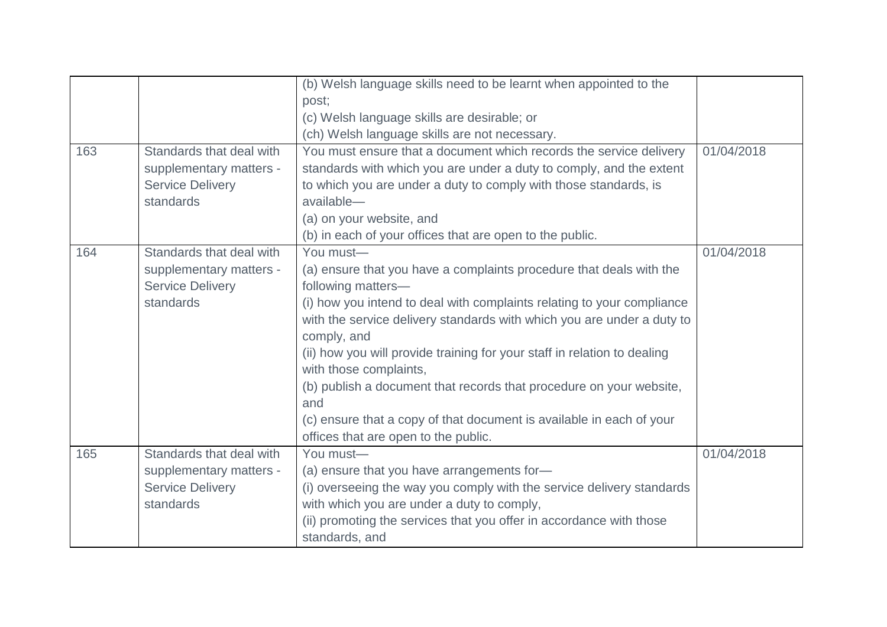|     |                          | (b) Welsh language skills need to be learnt when appointed to the<br>post;<br>(c) Welsh language skills are desirable; or |            |
|-----|--------------------------|---------------------------------------------------------------------------------------------------------------------------|------------|
|     |                          | (ch) Welsh language skills are not necessary.                                                                             |            |
| 163 | Standards that deal with | You must ensure that a document which records the service delivery                                                        | 01/04/2018 |
|     | supplementary matters -  | standards with which you are under a duty to comply, and the extent                                                       |            |
|     | <b>Service Delivery</b>  | to which you are under a duty to comply with those standards, is                                                          |            |
|     | standards                | available-                                                                                                                |            |
|     |                          | (a) on your website, and                                                                                                  |            |
|     |                          | (b) in each of your offices that are open to the public.                                                                  |            |
| 164 | Standards that deal with | You must-                                                                                                                 | 01/04/2018 |
|     | supplementary matters -  | (a) ensure that you have a complaints procedure that deals with the                                                       |            |
|     | <b>Service Delivery</b>  | following matters-                                                                                                        |            |
|     | standards                | (i) how you intend to deal with complaints relating to your compliance                                                    |            |
|     |                          | with the service delivery standards with which you are under a duty to<br>comply, and                                     |            |
|     |                          | (ii) how you will provide training for your staff in relation to dealing<br>with those complaints,                        |            |
|     |                          | (b) publish a document that records that procedure on your website,                                                       |            |
|     |                          | and                                                                                                                       |            |
|     |                          | (c) ensure that a copy of that document is available in each of your                                                      |            |
|     |                          | offices that are open to the public.                                                                                      |            |
| 165 | Standards that deal with | You must-                                                                                                                 | 01/04/2018 |
|     | supplementary matters -  | (a) ensure that you have arrangements for-                                                                                |            |
|     | <b>Service Delivery</b>  | (i) overseeing the way you comply with the service delivery standards                                                     |            |
|     | standards                | with which you are under a duty to comply,                                                                                |            |
|     |                          | (ii) promoting the services that you offer in accordance with those                                                       |            |
|     |                          | standards, and                                                                                                            |            |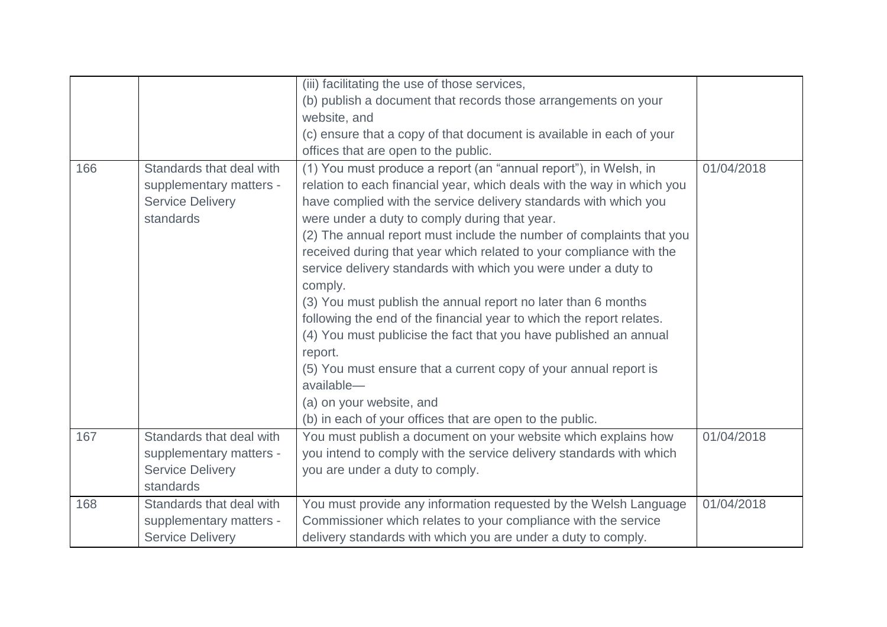|     |                          | (iii) facilitating the use of those services,                          |            |
|-----|--------------------------|------------------------------------------------------------------------|------------|
|     |                          | (b) publish a document that records those arrangements on your         |            |
|     |                          | website, and                                                           |            |
|     |                          | (c) ensure that a copy of that document is available in each of your   |            |
|     |                          | offices that are open to the public.                                   |            |
| 166 | Standards that deal with | (1) You must produce a report (an "annual report"), in Welsh, in       | 01/04/2018 |
|     | supplementary matters -  | relation to each financial year, which deals with the way in which you |            |
|     | <b>Service Delivery</b>  | have complied with the service delivery standards with which you       |            |
|     | standards                | were under a duty to comply during that year.                          |            |
|     |                          | (2) The annual report must include the number of complaints that you   |            |
|     |                          | received during that year which related to your compliance with the    |            |
|     |                          | service delivery standards with which you were under a duty to         |            |
|     |                          | comply.                                                                |            |
|     |                          | (3) You must publish the annual report no later than 6 months          |            |
|     |                          | following the end of the financial year to which the report relates.   |            |
|     |                          | (4) You must publicise the fact that you have published an annual      |            |
|     |                          | report.                                                                |            |
|     |                          | (5) You must ensure that a current copy of your annual report is       |            |
|     |                          | available-                                                             |            |
|     |                          | (a) on your website, and                                               |            |
|     |                          | (b) in each of your offices that are open to the public.               |            |
| 167 | Standards that deal with | You must publish a document on your website which explains how         | 01/04/2018 |
|     | supplementary matters -  | you intend to comply with the service delivery standards with which    |            |
|     | <b>Service Delivery</b>  | you are under a duty to comply.                                        |            |
|     | standards                |                                                                        |            |
| 168 | Standards that deal with | You must provide any information requested by the Welsh Language       | 01/04/2018 |
|     | supplementary matters -  | Commissioner which relates to your compliance with the service         |            |
|     | <b>Service Delivery</b>  | delivery standards with which you are under a duty to comply.          |            |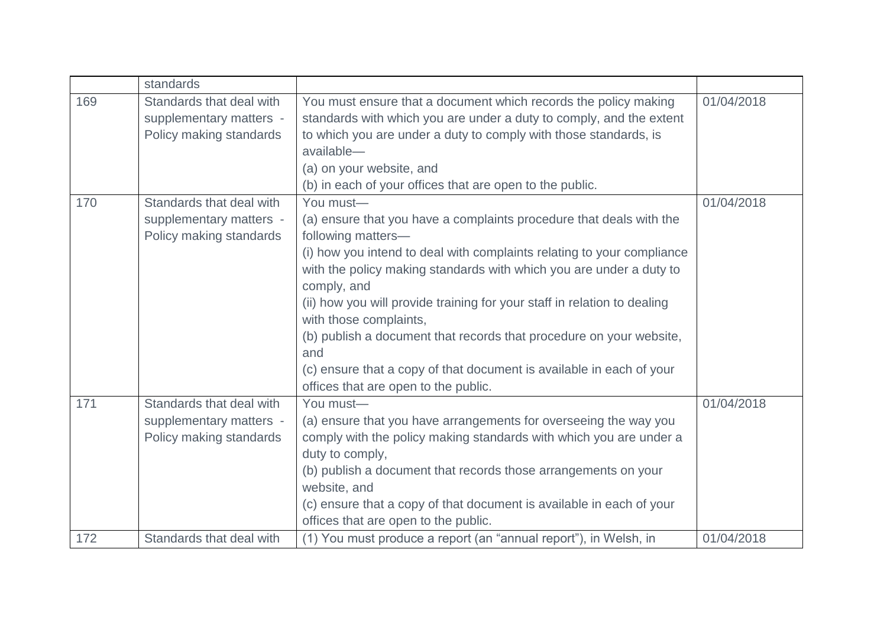|     | standards                                                                      |                                                                                                                                                                                                                                                                                                                                                                                                                                                                                                                                                                            |            |
|-----|--------------------------------------------------------------------------------|----------------------------------------------------------------------------------------------------------------------------------------------------------------------------------------------------------------------------------------------------------------------------------------------------------------------------------------------------------------------------------------------------------------------------------------------------------------------------------------------------------------------------------------------------------------------------|------------|
| 169 | Standards that deal with<br>supplementary matters -<br>Policy making standards | You must ensure that a document which records the policy making<br>standards with which you are under a duty to comply, and the extent<br>to which you are under a duty to comply with those standards, is<br>available-<br>(a) on your website, and<br>(b) in each of your offices that are open to the public.                                                                                                                                                                                                                                                           | 01/04/2018 |
| 170 | Standards that deal with<br>supplementary matters -<br>Policy making standards | You must-<br>(a) ensure that you have a complaints procedure that deals with the<br>following matters-<br>(i) how you intend to deal with complaints relating to your compliance<br>with the policy making standards with which you are under a duty to<br>comply, and<br>(ii) how you will provide training for your staff in relation to dealing<br>with those complaints,<br>(b) publish a document that records that procedure on your website,<br>and<br>(c) ensure that a copy of that document is available in each of your<br>offices that are open to the public. | 01/04/2018 |
| 171 | Standards that deal with<br>supplementary matters -<br>Policy making standards | You must-<br>(a) ensure that you have arrangements for overseeing the way you<br>comply with the policy making standards with which you are under a<br>duty to comply,<br>(b) publish a document that records those arrangements on your<br>website, and<br>(c) ensure that a copy of that document is available in each of your<br>offices that are open to the public.                                                                                                                                                                                                   | 01/04/2018 |
| 172 | Standards that deal with                                                       | (1) You must produce a report (an "annual report"), in Welsh, in                                                                                                                                                                                                                                                                                                                                                                                                                                                                                                           | 01/04/2018 |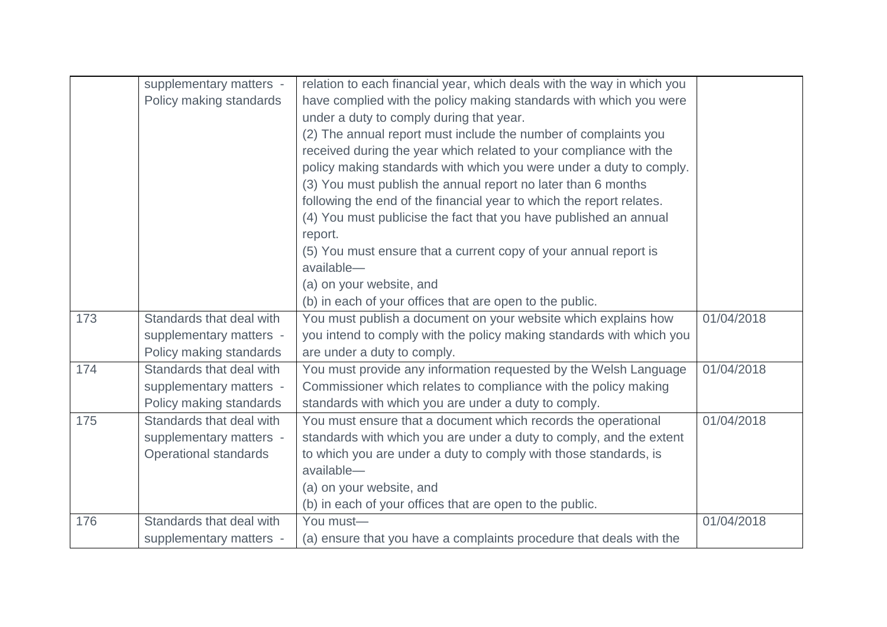|     | supplementary matters -  | relation to each financial year, which deals with the way in which you |            |
|-----|--------------------------|------------------------------------------------------------------------|------------|
|     | Policy making standards  | have complied with the policy making standards with which you were     |            |
|     |                          | under a duty to comply during that year.                               |            |
|     |                          | (2) The annual report must include the number of complaints you        |            |
|     |                          | received during the year which related to your compliance with the     |            |
|     |                          | policy making standards with which you were under a duty to comply.    |            |
|     |                          | (3) You must publish the annual report no later than 6 months          |            |
|     |                          | following the end of the financial year to which the report relates.   |            |
|     |                          | (4) You must publicise the fact that you have published an annual      |            |
|     |                          | report.                                                                |            |
|     |                          | (5) You must ensure that a current copy of your annual report is       |            |
|     |                          | available-                                                             |            |
|     |                          | (a) on your website, and                                               |            |
|     |                          | (b) in each of your offices that are open to the public.               |            |
| 173 | Standards that deal with | You must publish a document on your website which explains how         | 01/04/2018 |
|     | supplementary matters -  | you intend to comply with the policy making standards with which you   |            |
|     | Policy making standards  | are under a duty to comply.                                            |            |
| 174 | Standards that deal with | You must provide any information requested by the Welsh Language       | 01/04/2018 |
|     | supplementary matters -  | Commissioner which relates to compliance with the policy making        |            |
|     | Policy making standards  | standards with which you are under a duty to comply.                   |            |
| 175 | Standards that deal with | You must ensure that a document which records the operational          | 01/04/2018 |
|     | supplementary matters -  | standards with which you are under a duty to comply, and the extent    |            |
|     | Operational standards    | to which you are under a duty to comply with those standards, is       |            |
|     |                          | available-                                                             |            |
|     |                          | (a) on your website, and                                               |            |
|     |                          | (b) in each of your offices that are open to the public.               |            |
| 176 | Standards that deal with | You must-                                                              | 01/04/2018 |
|     | supplementary matters -  | (a) ensure that you have a complaints procedure that deals with the    |            |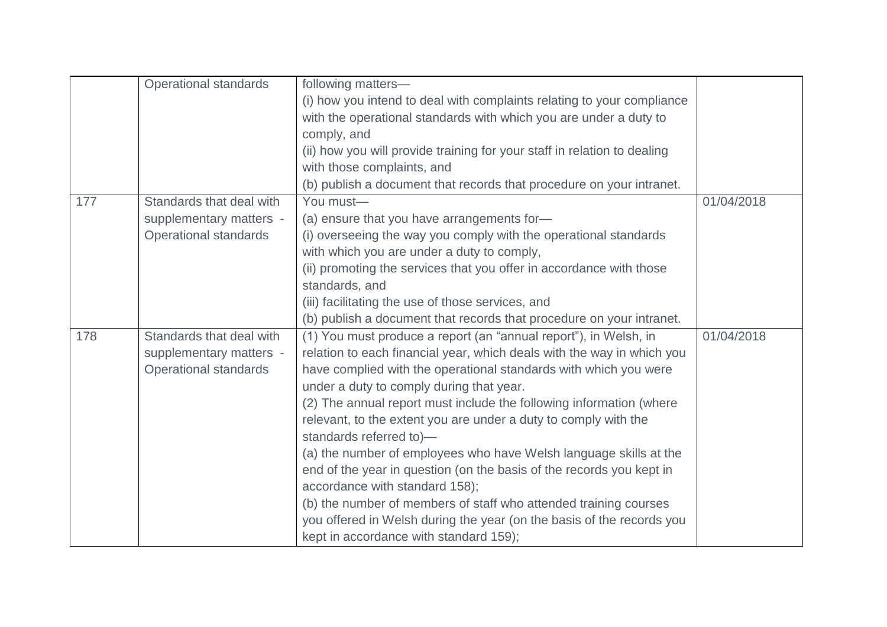|     | <b>Operational standards</b> | following matters-                                                       |            |
|-----|------------------------------|--------------------------------------------------------------------------|------------|
|     |                              | (i) how you intend to deal with complaints relating to your compliance   |            |
|     |                              | with the operational standards with which you are under a duty to        |            |
|     |                              | comply, and                                                              |            |
|     |                              | (ii) how you will provide training for your staff in relation to dealing |            |
|     |                              | with those complaints, and                                               |            |
|     |                              | (b) publish a document that records that procedure on your intranet.     |            |
| 177 | Standards that deal with     | You must-                                                                | 01/04/2018 |
|     | supplementary matters -      | (a) ensure that you have arrangements for-                               |            |
|     | <b>Operational standards</b> | (i) overseeing the way you comply with the operational standards         |            |
|     |                              | with which you are under a duty to comply,                               |            |
|     |                              | (ii) promoting the services that you offer in accordance with those      |            |
|     |                              | standards, and                                                           |            |
|     |                              | (iii) facilitating the use of those services, and                        |            |
|     |                              | (b) publish a document that records that procedure on your intranet.     |            |
| 178 | Standards that deal with     | (1) You must produce a report (an "annual report"), in Welsh, in         | 01/04/2018 |
|     | supplementary matters -      | relation to each financial year, which deals with the way in which you   |            |
|     | <b>Operational standards</b> | have complied with the operational standards with which you were         |            |
|     |                              | under a duty to comply during that year.                                 |            |
|     |                              | (2) The annual report must include the following information (where      |            |
|     |                              | relevant, to the extent you are under a duty to comply with the          |            |
|     |                              | standards referred to)-                                                  |            |
|     |                              | (a) the number of employees who have Welsh language skills at the        |            |
|     |                              | end of the year in question (on the basis of the records you kept in     |            |
|     |                              | accordance with standard 158);                                           |            |
|     |                              | (b) the number of members of staff who attended training courses         |            |
|     |                              | you offered in Welsh during the year (on the basis of the records you    |            |
|     |                              | kept in accordance with standard 159);                                   |            |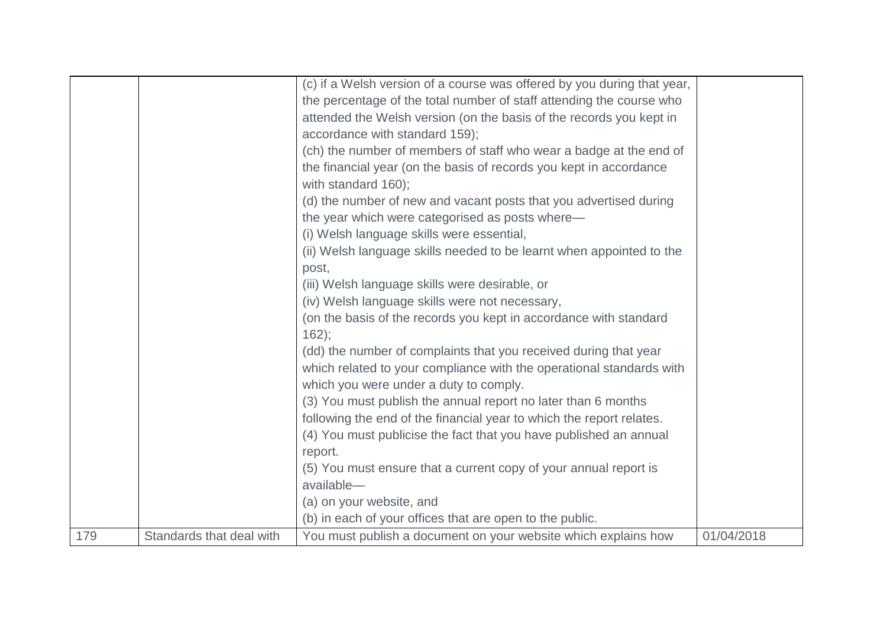|     |                          | (c) if a Welsh version of a course was offered by you during that year,<br>the percentage of the total number of staff attending the course who<br>attended the Welsh version (on the basis of the records you kept in<br>accordance with standard 159);<br>(ch) the number of members of staff who wear a badge at the end of<br>the financial year (on the basis of records you kept in accordance<br>with standard 160);<br>(d) the number of new and vacant posts that you advertised during<br>the year which were categorised as posts where-<br>(i) Welsh language skills were essential,<br>(ii) Welsh language skills needed to be learnt when appointed to the<br>post,<br>(iii) Welsh language skills were desirable, or<br>(iv) Welsh language skills were not necessary,<br>(on the basis of the records you kept in accordance with standard<br>$162$ :<br>(dd) the number of complaints that you received during that year<br>which related to your compliance with the operational standards with<br>which you were under a duty to comply.<br>(3) You must publish the annual report no later than 6 months<br>following the end of the financial year to which the report relates.<br>(4) You must publicise the fact that you have published an annual<br>report.<br>(5) You must ensure that a current copy of your annual report is<br>available- |            |
|-----|--------------------------|------------------------------------------------------------------------------------------------------------------------------------------------------------------------------------------------------------------------------------------------------------------------------------------------------------------------------------------------------------------------------------------------------------------------------------------------------------------------------------------------------------------------------------------------------------------------------------------------------------------------------------------------------------------------------------------------------------------------------------------------------------------------------------------------------------------------------------------------------------------------------------------------------------------------------------------------------------------------------------------------------------------------------------------------------------------------------------------------------------------------------------------------------------------------------------------------------------------------------------------------------------------------------------------------------------------------------------------------------------------------|------------|
|     |                          | (a) on your website, and<br>(b) in each of your offices that are open to the public.                                                                                                                                                                                                                                                                                                                                                                                                                                                                                                                                                                                                                                                                                                                                                                                                                                                                                                                                                                                                                                                                                                                                                                                                                                                                                   |            |
| 179 | Standards that deal with | You must publish a document on your website which explains how                                                                                                                                                                                                                                                                                                                                                                                                                                                                                                                                                                                                                                                                                                                                                                                                                                                                                                                                                                                                                                                                                                                                                                                                                                                                                                         | 01/04/2018 |